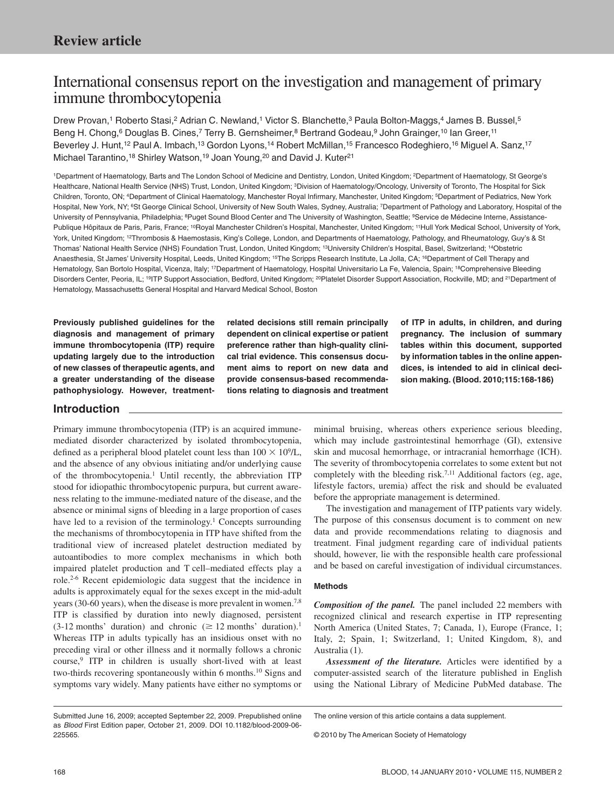# International consensus report on the investigation and management of primary immune thrombocytopenia

Drew Provan,<sup>1</sup> Roberto Stasi,<sup>2</sup> Adrian C. Newland,<sup>1</sup> Victor S. Blanchette,<sup>3</sup> Paula Bolton-Maggs,<sup>4</sup> James B. Bussel,<sup>5</sup> Beng H. Chong,<sup>6</sup> Douglas B. Cines,<sup>7</sup> Terry B. Gernsheimer,<sup>8</sup> Bertrand Godeau,<sup>9</sup> John Grainger,<sup>10</sup> Ian Greer,<sup>11</sup> Beverley J. Hunt,<sup>12</sup> Paul A. Imbach,<sup>13</sup> Gordon Lyons,<sup>14</sup> Robert McMillan,<sup>15</sup> Francesco Rodeghiero,<sup>16</sup> Miguel A. Sanz,<sup>17</sup> Michael Tarantino,<sup>18</sup> Shirley Watson,<sup>19</sup> Joan Young,<sup>20</sup> and David J. Kuter<sup>21</sup>

1Department of Haematology, Barts and The London School of Medicine and Dentistry, London, United Kingdom; 2Department of Haematology, St George's Healthcare, National Health Service (NHS) Trust, London, United Kingdom; <sup>3</sup>Division of Haematology/Oncology, University of Toronto, The Hospital for Sick Children, Toronto, ON; 4Department of Clinical Haematology, Manchester Royal Infirmary, Manchester, United Kingdom; 5Department of Pediatrics, New York Hospital, New York, NY; <sup>6</sup>St George Clinical School, University of New South Wales, Sydney, Australia; 7Department of Pathology and Laboratory, Hospital of the University of Pennsylvania, Philadelphia; <sup>8</sup>Puget Sound Blood Center and The University of Washington, Seattle; <sup>9</sup>Service de Médecine Interne, Assistance-Publique Hôpitaux de Paris, Paris, France; <sup>10</sup>Royal Manchester Children's Hospital, Manchester, United Kingdom; <sup>11</sup>Hull York Medical School, University of York, York, United Kingdom; 12Thrombosis & Haemostasis, King's College, London, and Departments of Haematology, Pathology, and Rheumatology, Guy's & St Thomas' National Health Service (NHS) Foundation Trust, London, United Kingdom; 13University Children's Hospital, Basel, Switzerland; 14Obstetric Anaesthesia, St James' University Hospital, Leeds, United Kingdom; 15The Scripps Research Institute, La Jolla, CA; 16Department of Cell Therapy and Hematology, San Bortolo Hospital, Vicenza, Italy; <sup>17</sup>Department of Haematology, Hospital Universitario La Fe, Valencia, Spain; <sup>18</sup>Comprehensive Bleeding Disorders Center, Peoria, IL; <sup>19</sup>ITP Support Association, Bedford, United Kingdom; <sup>20</sup>Platelet Disorder Support Association, Rockville, MD; and <sup>21</sup>Department of Hematology, Massachusetts General Hospital and Harvard Medical School, Boston

**Previously published guidelines for the diagnosis and management of primary immune thrombocytopenia (ITP) require updating largely due to the introduction of new classes of therapeutic agents, and a greater understanding of the disease pathophysiology. However, treatment-** **related decisions still remain principally dependent on clinical expertise or patient preference rather than high-quality clinical trial evidence. This consensus document aims to report on new data and provide consensus-based recommendations relating to diagnosis and treatment**

**of ITP in adults, in children, and during pregnancy. The inclusion of summary tables within this document, supported by information tables in the online appendices, is intended to aid in clinical decision making. (Blood. 2010;115:168-186)**

# **Introduction**

Primary immune thrombocytopenia (ITP) is an acquired immunemediated disorder characterized by isolated thrombocytopenia, defined as a peripheral blood platelet count less than  $100 \times 10^9$ /L, and the absence of any obvious initiating and/or underlying cause of the thrombocytopenia.1 Until recently, the abbreviation ITP stood for idiopathic thrombocytopenic purpura, but current awareness relating to the immune-mediated nature of the disease, and the absence or minimal signs of bleeding in a large proportion of cases have led to a revision of the terminology.<sup>1</sup> Concepts surrounding the mechanisms of thrombocytopenia in ITP have shifted from the traditional view of increased platelet destruction mediated by autoantibodies to more complex mechanisms in which both impaired platelet production and T cell–mediated effects play a role.2-6 Recent epidemiologic data suggest that the incidence in adults is approximately equal for the sexes except in the mid-adult years (30-60 years), when the disease is more prevalent in women.<sup>7,8</sup> ITP is classified by duration into newly diagnosed, persistent  $(3-12 \text{ months'}$  duration) and chronic  $( \geq 12 \text{ months'}$  duration).<sup>1</sup> Whereas ITP in adults typically has an insidious onset with no preceding viral or other illness and it normally follows a chronic course,9 ITP in children is usually short-lived with at least two-thirds recovering spontaneously within 6 months.10 Signs and symptoms vary widely. Many patients have either no symptoms or minimal bruising, whereas others experience serious bleeding, which may include gastrointestinal hemorrhage (GI), extensive skin and mucosal hemorrhage, or intracranial hemorrhage (ICH). The severity of thrombocytopenia correlates to some extent but not completely with the bleeding risk.<sup>7,11</sup> Additional factors (eg, age, lifestyle factors, uremia) affect the risk and should be evaluated before the appropriate management is determined.

The investigation and management of ITP patients vary widely. The purpose of this consensus document is to comment on new data and provide recommendations relating to diagnosis and treatment. Final judgment regarding care of individual patients should, however, lie with the responsible health care professional and be based on careful investigation of individual circumstances.

### **Methods**

*Composition of the panel.* The panel included 22 members with recognized clinical and research expertise in ITP representing North America (United States, 7; Canada, 1), Europe (France, 1; Italy, 2; Spain, 1; Switzerland, 1; United Kingdom, 8), and Australia (1).

*Assessment of the literature.* Articles were identified by a computer-assisted search of the literature published in English using the National Library of Medicine PubMed database. The

Submitted June 16, 2009; accepted September 22, 2009. Prepublished online as *Blood* First Edition paper, October 21, 2009. DOI 10.1182/blood-2009-06- 225565.

The online version of this article contains a data supplement.

<sup>© 2010</sup> by The American Society of Hematology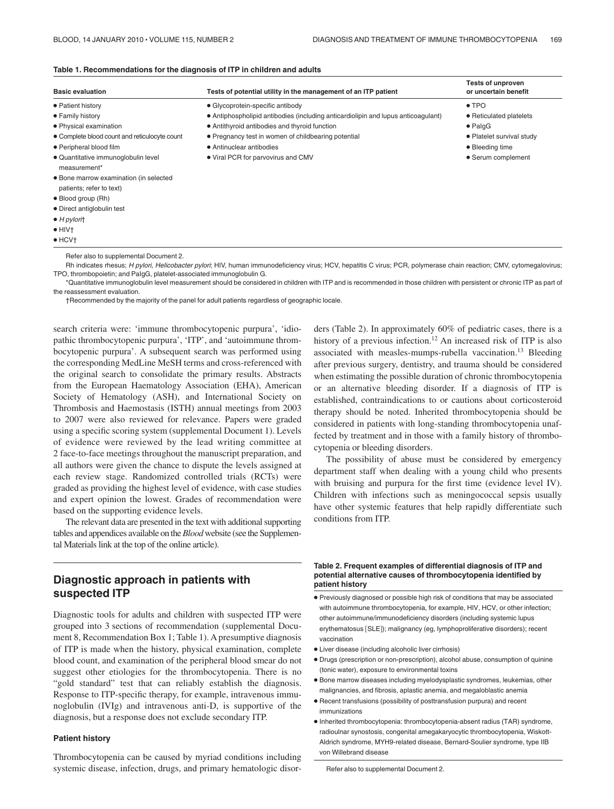#### **Table 1. Recommendations for the diagnosis of ITP in children and adults**

| <b>Basic evaluation</b>                                            | Tests of potential utility in the management of an ITP patient                    | Tests of unproven<br>or uncertain benefit |
|--------------------------------------------------------------------|-----------------------------------------------------------------------------------|-------------------------------------------|
| • Patient history                                                  | • Glycoprotein-specific antibody                                                  | $\bullet$ TPO                             |
| • Family history                                                   | • Antiphospholipid antibodies (including anticardiolipin and lupus anticoagulant) | • Reticulated platelets                   |
| • Physical examination                                             | • Antithyroid antibodies and thyroid function                                     | $\bullet$ PalgG                           |
| • Complete blood count and reticulocyte count                      | • Pregnancy test in women of childbearing potential                               | • Platelet survival study                 |
| • Peripheral blood film                                            | • Antinuclear antibodies                                                          | • Bleeding time                           |
| • Quantitative immunoglobulin level<br>measurement <sup>*</sup>    | . Viral PCR for parvovirus and CMV                                                | • Serum complement                        |
| • Bone marrow examination (in selected<br>patients; refer to text) |                                                                                   |                                           |
| • Blood group (Rh)                                                 |                                                                                   |                                           |
| • Direct antiglobulin test                                         |                                                                                   |                                           |
| $\bullet$ H pylorit                                                |                                                                                   |                                           |
| $\bullet$ HIV+                                                     |                                                                                   |                                           |
| $\bullet$ HCV+                                                     |                                                                                   |                                           |

Refer also to supplemental Document 2.

Rh indicates rhesus; *H pylori*, *Helicobacter pylori*; HIV, human immunodeficiency virus; HCV, hepatitis C virus; PCR, polymerase chain reaction; CMV, cytomegalovirus; TPO, thrombopoietin; and PaIgG, platelet-associated immunoglobulin G.

\*Quantitative immunoglobulin level measurement should be considered in children with ITP and is recommended in those children with persistent or chronic ITP as part of the reassessment evaluation.

†Recommended by the majority of the panel for adult patients regardless of geographic locale.

search criteria were: 'immune thrombocytopenic purpura', 'idiopathic thrombocytopenic purpura', 'ITP', and 'autoimmune thrombocytopenic purpura'. A subsequent search was performed using the corresponding MedLine MeSH terms and cross-referenced with the original search to consolidate the primary results. Abstracts from the European Haematology Association (EHA), American Society of Hematology (ASH), and International Society on Thrombosis and Haemostasis (ISTH) annual meetings from 2003 to 2007 were also reviewed for relevance. Papers were graded using a specific scoring system (supplemental Document 1). Levels of evidence were reviewed by the lead writing committee at 2 face-to-face meetings throughout the manuscript preparation, and all authors were given the chance to dispute the levels assigned at each review stage. Randomized controlled trials (RCTs) were graded as providing the highest level of evidence, with case studies and expert opinion the lowest. Grades of recommendation were based on the supporting evidence levels.

The relevant data are presented in the text with additional supporting tables and appendices available onthe*Blood*website (seethe Supplemental Materials link at the top of the online article).

# **Diagnostic approach in patients with suspected ITP**

Diagnostic tools for adults and children with suspected ITP were grouped into 3 sections of recommendation (supplemental Document 8, Recommendation Box 1; Table 1). A presumptive diagnosis of ITP is made when the history, physical examination, complete blood count, and examination of the peripheral blood smear do not suggest other etiologies for the thrombocytopenia. There is no "gold standard" test that can reliably establish the diagnosis. Response to ITP-specific therapy, for example, intravenous immunoglobulin (IVIg) and intravenous anti-D, is supportive of the diagnosis, but a response does not exclude secondary ITP.

#### **Patient history**

Thrombocytopenia can be caused by myriad conditions including systemic disease, infection, drugs, and primary hematologic disorders (Table 2). In approximately 60% of pediatric cases, there is a history of a previous infection.<sup>12</sup> An increased risk of ITP is also associated with measles-mumps-rubella vaccination.13 Bleeding after previous surgery, dentistry, and trauma should be considered when estimating the possible duration of chronic thrombocytopenia or an alternative bleeding disorder. If a diagnosis of ITP is established, contraindications to or cautions about corticosteroid therapy should be noted. Inherited thrombocytopenia should be considered in patients with long-standing thrombocytopenia unaffected by treatment and in those with a family history of thrombocytopenia or bleeding disorders.

The possibility of abuse must be considered by emergency department staff when dealing with a young child who presents with bruising and purpura for the first time (evidence level IV). Children with infections such as meningococcal sepsis usually have other systemic features that help rapidly differentiate such conditions from ITP.

#### **Table 2. Frequent examples of differential diagnosis of ITP and potential alternative causes of thrombocytopenia identified by patient history**

- Previously diagnosed or possible high risk of conditions that may be associated with autoimmune thrombocytopenia, for example, HIV, HCV, or other infection; other autoimmune/immunodeficiency disorders (including systemic lupus erythematosus [SLE]); malignancy (eg, lymphoproliferative disorders); recent vaccination
- Liver disease (including alcoholic liver cirrhosis)
- Drugs (prescription or non-prescription), alcohol abuse, consumption of quinine (tonic water), exposure to environmental toxins
- Bone marrow diseases including myelodysplastic syndromes, leukemias, other malignancies, and fibrosis, aplastic anemia, and megaloblastic anemia
- Recent transfusions (possibility of posttransfusion purpura) and recent immunizations
- Inherited thrombocytopenia: thrombocytopenia-absent radius (TAR) syndrome, radioulnar synostosis, congenital amegakaryocytic thrombocytopenia, Wiskott-Aldrich syndrome, MYH9-related disease, Bernard-Soulier syndrome, type IIB von Willebrand disease

Refer also to supplemental Document 2.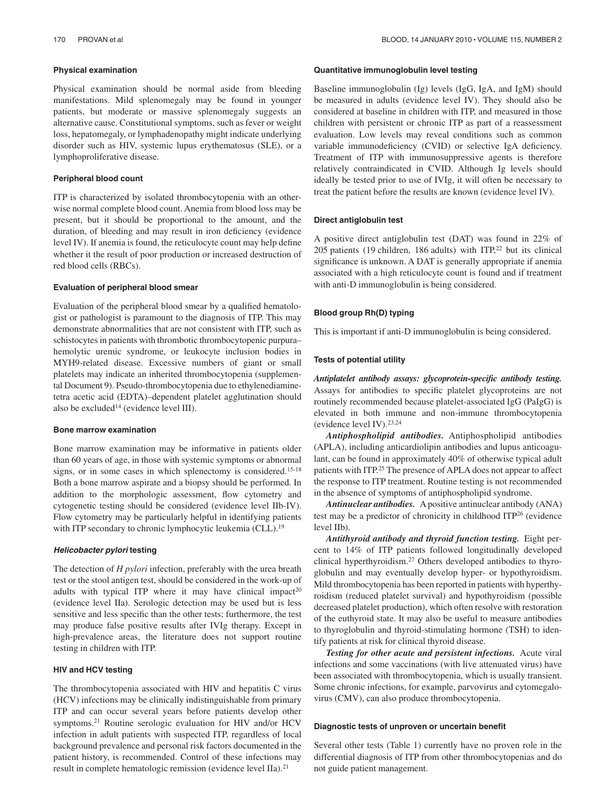#### **Physical examination**

Physical examination should be normal aside from bleeding manifestations. Mild splenomegaly may be found in younger patients, but moderate or massive splenomegaly suggests an alternative cause. Constitutional symptoms, such as fever or weight loss, hepatomegaly, or lymphadenopathy might indicate underlying disorder such as HIV, systemic lupus erythematosus (SLE), or a lymphoproliferative disease.

#### **Peripheral blood count**

ITP is characterized by isolated thrombocytopenia with an otherwise normal complete blood count. Anemia from blood loss may be present, but it should be proportional to the amount, and the duration, of bleeding and may result in iron deficiency (evidence level IV). If anemia is found, the reticulocyte count may help define whether it the result of poor production or increased destruction of red blood cells (RBCs).

#### **Evaluation of peripheral blood smear**

Evaluation of the peripheral blood smear by a qualified hematologist or pathologist is paramount to the diagnosis of ITP. This may demonstrate abnormalities that are not consistent with ITP, such as schistocytes in patients with thrombotic thrombocytopenic purpura– hemolytic uremic syndrome, or leukocyte inclusion bodies in MYH9-related disease. Excessive numbers of giant or small platelets may indicate an inherited thrombocytopenia (supplemental Document 9). Pseudo-thrombocytopenia due to ethylenediaminetetra acetic acid (EDTA)–dependent platelet agglutination should also be excluded<sup>14</sup> (evidence level III).

#### **Bone marrow examination**

Bone marrow examination may be informative in patients older than 60 years of age, in those with systemic symptoms or abnormal signs, or in some cases in which splenectomy is considered.<sup>15-18</sup> Both a bone marrow aspirate and a biopsy should be performed. In addition to the morphologic assessment, flow cytometry and cytogenetic testing should be considered (evidence level IIb-IV). Flow cytometry may be particularly helpful in identifying patients with ITP secondary to chronic lymphocytic leukemia (CLL).<sup>19</sup>

#### *Helicobacter pylori* **testing**

The detection of *H pylori* infection, preferably with the urea breath test or the stool antigen test, should be considered in the work-up of adults with typical ITP where it may have clinical impact<sup>20</sup> (evidence level IIa). Serologic detection may be used but is less sensitive and less specific than the other tests; furthermore, the test may produce false positive results after IVIg therapy. Except in high-prevalence areas, the literature does not support routine testing in children with ITP.

### **HIV and HCV testing**

The thrombocytopenia associated with HIV and hepatitis C virus (HCV) infections may be clinically indistinguishable from primary ITP and can occur several years before patients develop other symptoms.21 Routine serologic evaluation for HIV and/or HCV infection in adult patients with suspected ITP, regardless of local background prevalence and personal risk factors documented in the patient history, is recommended. Control of these infections may result in complete hematologic remission (evidence level IIa).<sup>21</sup>

### **Quantitative immunoglobulin level testing**

Baseline immunoglobulin (Ig) levels (IgG, IgA, and IgM) should be measured in adults (evidence level IV). They should also be considered at baseline in children with ITP, and measured in those children with persistent or chronic ITP as part of a reassessment evaluation. Low levels may reveal conditions such as common variable immunodeficiency (CVID) or selective IgA deficiency. Treatment of ITP with immunosuppressive agents is therefore relatively contraindicated in CVID. Although Ig levels should ideally be tested prior to use of IVIg, it will often be necessary to treat the patient before the results are known (evidence level IV).

### **Direct antiglobulin test**

A positive direct antiglobulin test (DAT) was found in 22% of 205 patients (19 children, 186 adults) with  $ITP<sub>1</sub><sup>22</sup>$  but its clinical significance is unknown. A DAT is generally appropriate if anemia associated with a high reticulocyte count is found and if treatment with anti-D immunoglobulin is being considered.

#### **Blood group Rh(D) typing**

This is important if anti-D immunoglobulin is being considered.

#### **Tests of potential utility**

*Antiplatelet antibody assays: glycoprotein-specific antibody testing.* Assays for antibodies to specific platelet glycoproteins are not routinely recommended because platelet-associated IgG (PaIgG) is elevated in both immune and non-immune thrombocytopenia (evidence level IV).23,24

*Antiphospholipid antibodies.* Antiphospholipid antibodies (APLA), including anticardiolipin antibodies and lupus anticoagulant, can be found in approximately 40% of otherwise typical adult patients with ITP.25 The presence of APLA does not appear to affect the response to ITP treatment. Routine testing is not recommended in the absence of symptoms of antiphospholipid syndrome.

*Antinuclear antibodies.* A positive antinuclear antibody (ANA) test may be a predictor of chronicity in childhood ITP26 (evidence level IIb).

*Antithyroid antibody and thyroid function testing.* Eight percent to 14% of ITP patients followed longitudinally developed clinical hyperthyroidism.27 Others developed antibodies to thyroglobulin and may eventually develop hyper- or hypothyroidism. Mild thrombocytopenia has been reported in patients with hyperthyroidism (reduced platelet survival) and hypothyroidism (possible decreased platelet production), which often resolve with restoration of the euthyroid state. It may also be useful to measure antibodies to thyroglobulin and thyroid-stimulating hormone (TSH) to identify patients at risk for clinical thyroid disease.

*Testing for other acute and persistent infections.* Acute viral infections and some vaccinations (with live attenuated virus) have been associated with thrombocytopenia, which is usually transient. Some chronic infections, for example, parvovirus and cytomegalovirus (CMV), can also produce thrombocytopenia.

#### **Diagnostic tests of unproven or uncertain benefit**

Several other tests (Table 1) currently have no proven role in the differential diagnosis of ITP from other thrombocytopenias and do not guide patient management.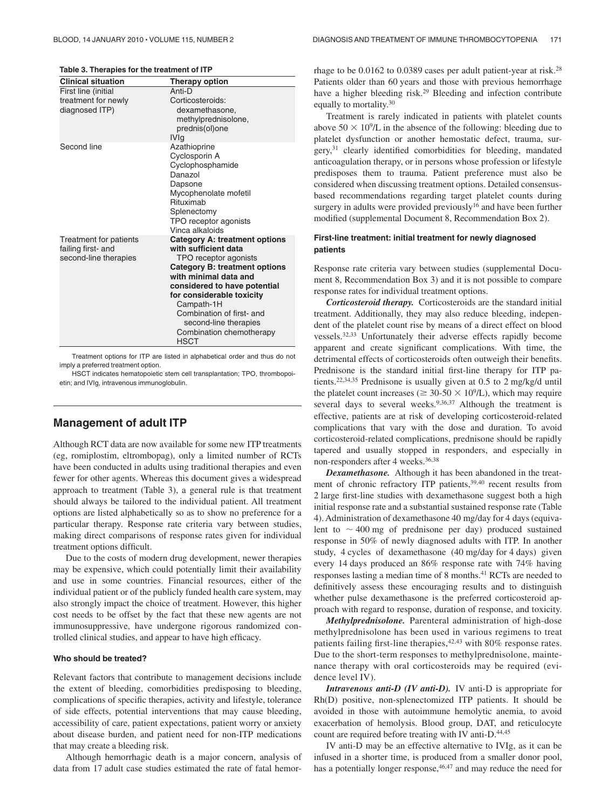| Table 3. Therapies for the treatment of ITP                           |                                                                                                                                                                                                                                                                                                                      |
|-----------------------------------------------------------------------|----------------------------------------------------------------------------------------------------------------------------------------------------------------------------------------------------------------------------------------------------------------------------------------------------------------------|
| <b>Clinical situation</b>                                             | <b>Therapy option</b>                                                                                                                                                                                                                                                                                                |
| First line (initial<br>treatment for newly<br>diagnosed ITP)          | Anti-D<br>Corticosteroids:<br>dexamethasone.<br>methylprednisolone,<br>prednis(ol)one<br><b>IVIg</b>                                                                                                                                                                                                                 |
| Second line                                                           | Azathioprine<br>Cyclosporin A<br>Cyclophosphamide<br>Danazol<br>Dapsone<br>Mycophenolate mofetil<br>Rituximab<br>Splenectomy<br>TPO receptor agonists<br>Vinca alkaloids                                                                                                                                             |
| Treatment for patients<br>failing first- and<br>second-line therapies | <b>Category A: treatment options</b><br>with sufficient data<br>TPO receptor agonists<br>Category B: treatment options<br>with minimal data and<br>considered to have potential<br>for considerable toxicity<br>Campath-1H<br>Combination of first- and<br>second-line therapies<br>Combination chemotherapy<br>HSCT |

**Table 3. Therapies for the treatment of ITP**

Treatment options for ITP are listed in alphabetical order and thus do not imply a preferred treatment option.

HSCT indicates hematopoietic stem cell transplantation; TPO, thrombopoietin; and IVIg, intravenous immunoglobulin.

# **Management of adult ITP**

Although RCT data are now available for some new ITP treatments (eg, romiplostim, eltrombopag), only a limited number of RCTs have been conducted in adults using traditional therapies and even fewer for other agents. Whereas this document gives a widespread approach to treatment (Table 3), a general rule is that treatment should always be tailored to the individual patient. All treatment options are listed alphabetically so as to show no preference for a particular therapy. Response rate criteria vary between studies, making direct comparisons of response rates given for individual treatment options difficult.

Due to the costs of modern drug development, newer therapies may be expensive, which could potentially limit their availability and use in some countries. Financial resources, either of the individual patient or of the publicly funded health care system, may also strongly impact the choice of treatment. However, this higher cost needs to be offset by the fact that these new agents are not immunosuppressive, have undergone rigorous randomized controlled clinical studies, and appear to have high efficacy.

### **Who should be treated?**

Relevant factors that contribute to management decisions include the extent of bleeding, comorbidities predisposing to bleeding, complications of specific therapies, activity and lifestyle, tolerance of side effects, potential interventions that may cause bleeding, accessibility of care, patient expectations, patient worry or anxiety about disease burden, and patient need for non-ITP medications that may create a bleeding risk.

Although hemorrhagic death is a major concern, analysis of data from 17 adult case studies estimated the rate of fatal hemorrhage to be 0.0162 to 0.0389 cases per adult patient-year at risk.28 Patients older than 60 years and those with previous hemorrhage have a higher bleeding risk.29 Bleeding and infection contribute equally to mortality.30

Treatment is rarely indicated in patients with platelet counts above  $50 \times 10^9$ /L in the absence of the following: bleeding due to platelet dysfunction or another hemostatic defect, trauma, surgery,31 clearly identified comorbidities for bleeding, mandated anticoagulation therapy, or in persons whose profession or lifestyle predisposes them to trauma. Patient preference must also be considered when discussing treatment options. Detailed consensusbased recommendations regarding target platelet counts during surgery in adults were provided previously<sup>16</sup> and have been further modified (supplemental Document 8, Recommendation Box 2).

### **First-line treatment: initial treatment for newly diagnosed patients**

Response rate criteria vary between studies (supplemental Document 8, Recommendation Box 3) and it is not possible to compare response rates for individual treatment options.

*Corticosteroid therapy.* Corticosteroids are the standard initial treatment. Additionally, they may also reduce bleeding, independent of the platelet count rise by means of a direct effect on blood vessels.32,33 Unfortunately their adverse effects rapidly become apparent and create significant complications. With time, the detrimental effects of corticosteroids often outweigh their benefits. Prednisone is the standard initial first-line therapy for ITP patients.22,34,35 Prednisone is usually given at 0.5 to 2 mg/kg/d until the platelet count increases ( $\geq 30{\text -}50 \times 10^9$ /L), which may require several days to several weeks.<sup>9,36,37</sup> Although the treatment is effective, patients are at risk of developing corticosteroid-related complications that vary with the dose and duration. To avoid corticosteroid-related complications, prednisone should be rapidly tapered and usually stopped in responders, and especially in non-responders after 4 weeks.36,38

*Dexamethasone.* Although it has been abandoned in the treatment of chronic refractory ITP patients,<sup>39,40</sup> recent results from 2 large first-line studies with dexamethasone suggest both a high initial response rate and a substantial sustained response rate (Table 4). Administration of dexamethasone 40 mg/day for 4 days (equivalent to  $\sim$  400 mg of prednisone per day) produced sustained response in 50% of newly diagnosed adults with ITP. In another study, 4 cycles of dexamethasone (40 mg/day for 4 days) given every 14 days produced an 86% response rate with 74% having responses lasting a median time of 8 months.41 RCTs are needed to definitively assess these encouraging results and to distinguish whether pulse dexamethasone is the preferred corticosteroid approach with regard to response, duration of response, and toxicity.

*Methylprednisolone.* Parenteral administration of high-dose methylprednisolone has been used in various regimens to treat patients failing first-line therapies,<sup>42,43</sup> with 80% response rates. Due to the short-term responses to methylprednisolone, maintenance therapy with oral corticosteroids may be required (evidence level IV).

*Intravenous anti-D (IV anti-D).* IV anti-D is appropriate for Rh(D) positive, non-splenectomized ITP patients. It should be avoided in those with autoimmune hemolytic anemia, to avoid exacerbation of hemolysis. Blood group, DAT, and reticulocyte count are required before treating with IV anti-D.<sup>44,45</sup>

IV anti-D may be an effective alternative to IVIg, as it can be infused in a shorter time, is produced from a smaller donor pool, has a potentially longer response,  $46,47$  and may reduce the need for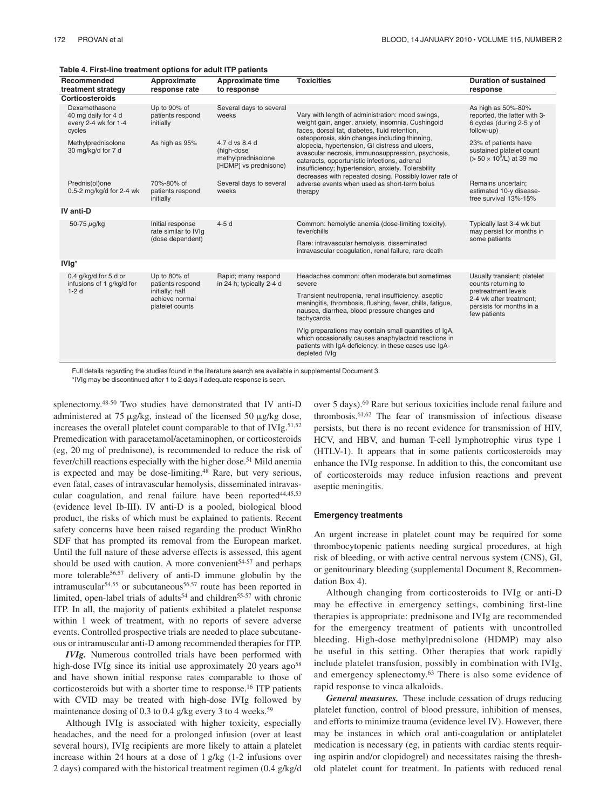|  |  | Table 4. First-line treatment options for adult ITP patients |  |
|--|--|--------------------------------------------------------------|--|
|  |  |                                                              |  |

| Recommended<br>treatment strategy                                      | Approximate<br>response rate                                                             | Approximate time<br>to response                                             | <b>Toxicities</b>                                                                                                                                                                                                                                                                                                      | <b>Duration of sustained</b><br>response                                                      |  |
|------------------------------------------------------------------------|------------------------------------------------------------------------------------------|-----------------------------------------------------------------------------|------------------------------------------------------------------------------------------------------------------------------------------------------------------------------------------------------------------------------------------------------------------------------------------------------------------------|-----------------------------------------------------------------------------------------------|--|
| <b>Corticosteroids</b>                                                 |                                                                                          |                                                                             |                                                                                                                                                                                                                                                                                                                        |                                                                                               |  |
| Dexamethasone<br>40 mg daily for 4 d<br>every 2-4 wk for 1-4<br>cycles | Up to 90% of<br>patients respond<br>initially                                            | Several days to several<br>weeks                                            | Vary with length of administration: mood swings,<br>weight gain, anger, anxiety, insomnia, Cushingoid<br>faces, dorsal fat, diabetes, fluid retention,                                                                                                                                                                 | As high as 50%-80%<br>reported, the latter with 3-<br>6 cycles (during 2-5 y of<br>follow-up) |  |
| Methylprednisolone<br>30 mg/kg/d for 7 d                               | As high as 95%                                                                           | 4.7 d vs 8.4 d<br>(high-dose<br>methylprednisolone<br>[HDMP] vs prednisone) | osteoporosis, skin changes including thinning,<br>alopecia, hypertension, GI distress and ulcers,<br>avascular necrosis, immunosuppression, psychosis,<br>cataracts, opportunistic infections, adrenal<br>insufficiency; hypertension, anxiety. Tolerability<br>decreases with repeated dosing. Possibly lower rate of | 23% of patients have<br>sustained platelet count<br>$(> 50 \times 10^9/\text{L})$ at 39 mo    |  |
| Prednis(ol)one<br>0.5-2 mg/kg/d for 2-4 wk                             | 70%-80% of<br>patients respond<br>initially                                              | Several days to several<br>weeks                                            | adverse events when used as short-term bolus<br>therapy                                                                                                                                                                                                                                                                | Remains uncertain;<br>estimated 10-y disease-<br>free survival 13%-15%                        |  |
| IV anti-D                                                              |                                                                                          |                                                                             |                                                                                                                                                                                                                                                                                                                        |                                                                                               |  |
| 50-75 µg/kg                                                            | Initial response<br>rate similar to IVIq<br>(dose dependent)                             | $4-5d$                                                                      | Common: hemolytic anemia (dose-limiting toxicity),<br>fever/chills                                                                                                                                                                                                                                                     | Typically last 3-4 wk but<br>may persist for months in<br>some patients                       |  |
|                                                                        |                                                                                          |                                                                             | Rare: intravascular hemolysis, disseminated<br>intravascular coaqulation, renal failure, rare death                                                                                                                                                                                                                    |                                                                                               |  |
| IVIq*                                                                  |                                                                                          |                                                                             |                                                                                                                                                                                                                                                                                                                        |                                                                                               |  |
| 0.4 g/kg/d for 5 d or<br>infusions of 1 g/kg/d for<br>$1-2d$           | Up to 80% of<br>patients respond<br>initially; half<br>achieve normal<br>platelet counts | Rapid; many respond<br>in 24 h; typically 2-4 d                             | Headaches common: often moderate but sometimes<br>severe                                                                                                                                                                                                                                                               | Usually transient; platelet<br>counts returning to                                            |  |
|                                                                        |                                                                                          |                                                                             | Transient neutropenia, renal insufficiency, aseptic<br>meningitis, thrombosis, flushing, fever, chills, fatique,<br>nausea, diarrhea, blood pressure changes and<br>tachycardia                                                                                                                                        | pretreatment levels<br>2-4 wk after treatment;<br>persists for months in a<br>few patients    |  |
|                                                                        |                                                                                          |                                                                             | IVIg preparations may contain small quantities of IgA,<br>which occasionally causes anaphylactoid reactions in<br>patients with IqA deficiency; in these cases use IqA-<br>depleted IVIg                                                                                                                               |                                                                                               |  |

Full details regarding the studies found in the literature search are available in supplemental Document 3.

\*IVIg may be discontinued after 1 to 2 days if adequate response is seen.

splenectomy.48-50 Two studies have demonstrated that IV anti-D administered at 75  $\mu$ g/kg, instead of the licensed 50  $\mu$ g/kg dose, increases the overall platelet count comparable to that of  $IVIg.51,52$ Premedication with paracetamol/acetaminophen, or corticosteroids (eg, 20 mg of prednisone), is recommended to reduce the risk of fever/chill reactions especially with the higher dose.<sup>51</sup> Mild anemia is expected and may be dose-limiting.<sup>48</sup> Rare, but very serious, even fatal, cases of intravascular hemolysis, disseminated intravascular coagulation, and renal failure have been reported $44,45,53$ (evidence level Ib-III). IV anti-D is a pooled, biological blood product, the risks of which must be explained to patients. Recent safety concerns have been raised regarding the product WinRho SDF that has prompted its removal from the European market. Until the full nature of these adverse effects is assessed, this agent should be used with caution. A more convenient  $54-57$  and perhaps more tolerable<sup>56,57</sup> delivery of anti-D immune globulin by the intramuscular<sup>54,55</sup> or subcutaneous<sup>56,57</sup> route has been reported in limited, open-label trials of adults<sup>54</sup> and children<sup>55-57</sup> with chronic ITP. In all, the majority of patients exhibited a platelet response within 1 week of treatment, with no reports of severe adverse events. Controlled prospective trials are needed to place subcutaneous or intramuscular anti-D among recommended therapies for ITP.

*IVIg.* Numerous controlled trials have been performed with high-dose IVIg since its initial use approximately 20 years ago<sup>58</sup> and have shown initial response rates comparable to those of corticosteroids but with a shorter time to response.16 ITP patients with CVID may be treated with high-dose IVIg followed by maintenance dosing of 0.3 to 0.4 g/kg every 3 to 4 weeks.<sup>59</sup>

Although IVIg is associated with higher toxicity, especially headaches, and the need for a prolonged infusion (over at least several hours), IVIg recipients are more likely to attain a platelet increase within 24 hours at a dose of 1 g/kg (1-2 infusions over 2 days) compared with the historical treatment regimen (0.4 g/kg/d over 5 days).60 Rare but serious toxicities include renal failure and thrombosis.61,62 The fear of transmission of infectious disease persists, but there is no recent evidence for transmission of HIV, HCV, and HBV, and human T-cell lymphotrophic virus type 1 (HTLV-1). It appears that in some patients corticosteroids may enhance the IVIg response. In addition to this, the concomitant use of corticosteroids may reduce infusion reactions and prevent aseptic meningitis.

#### **Emergency treatments**

An urgent increase in platelet count may be required for some thrombocytopenic patients needing surgical procedures, at high risk of bleeding, or with active central nervous system (CNS), GI, or genitourinary bleeding (supplemental Document 8, Recommendation Box 4).

Although changing from corticosteroids to IVIg or anti-D may be effective in emergency settings, combining first-line therapies is appropriate: prednisone and IVIg are recommended for the emergency treatment of patients with uncontrolled bleeding. High-dose methylprednisolone (HDMP) may also be useful in this setting. Other therapies that work rapidly include platelet transfusion, possibly in combination with IVIg, and emergency splenectomy.63 There is also some evidence of rapid response to vinca alkaloids.

*General measures.* These include cessation of drugs reducing platelet function, control of blood pressure, inhibition of menses, and efforts to minimize trauma (evidence level IV). However, there may be instances in which oral anti-coagulation or antiplatelet medication is necessary (eg, in patients with cardiac stents requiring aspirin and/or clopidogrel) and necessitates raising the threshold platelet count for treatment. In patients with reduced renal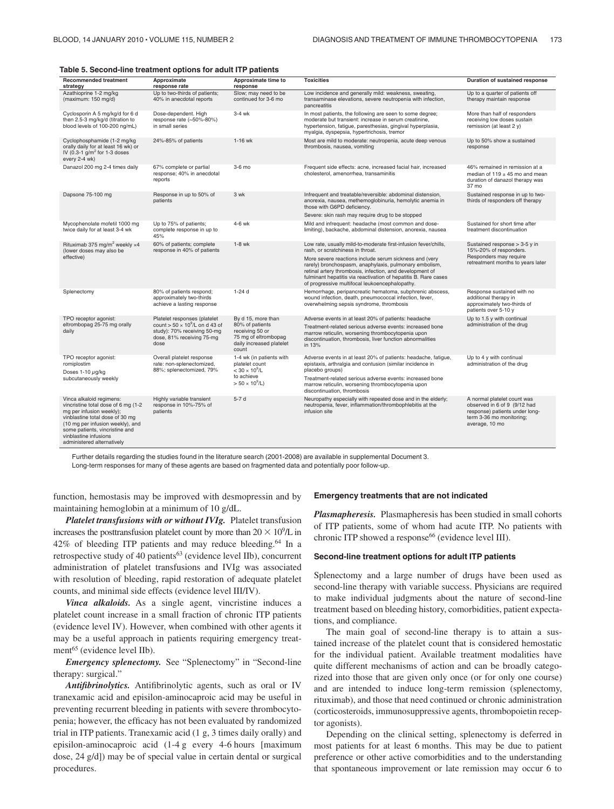#### **Table 5. Second-line treatment options for adult ITP patients**

| <b>Recommended treatment</b><br>strategy                                                                                                                                                                                                                     | Approximate<br>response rate                                                                                                               | Approximate time to<br>response                                                                                            | <b>Toxicities</b>                                                                                                                                                                                                                                                                                                                                                                                        | Duration of sustained response                                                                                                              |
|--------------------------------------------------------------------------------------------------------------------------------------------------------------------------------------------------------------------------------------------------------------|--------------------------------------------------------------------------------------------------------------------------------------------|----------------------------------------------------------------------------------------------------------------------------|----------------------------------------------------------------------------------------------------------------------------------------------------------------------------------------------------------------------------------------------------------------------------------------------------------------------------------------------------------------------------------------------------------|---------------------------------------------------------------------------------------------------------------------------------------------|
| Azathioprine 1-2 mg/kg<br>(maximum: 150 mg/d)                                                                                                                                                                                                                | Up to two-thirds of patients;<br>40% in anecdotal reports                                                                                  | Slow; may need to be<br>continued for 3-6 mo                                                                               | Low incidence and generally mild: weakness, sweating,<br>transaminase elevations, severe neutropenia with infection,<br>pancreatitis                                                                                                                                                                                                                                                                     | Up to a quarter of patients off<br>therapy maintain response                                                                                |
| Cyclosporin A 5 mg/kg/d for 6 d<br>then 2.5-3 mg/kg/d (titration to<br>blood levels of 100-200 ng/mL)                                                                                                                                                        | Dose-dependent. High<br>response rate (~50%-80%)<br>in small series                                                                        | 3-4 wk                                                                                                                     | In most patients, the following are seen to some degree;<br>moderate but transient: increase in serum creatinine,<br>hypertension, fatigue, paresthesias, gingival hyperplasia,<br>myalgia, dyspepsia, hypertrichosis, tremor                                                                                                                                                                            | More than half of responders<br>receiving low doses sustain<br>remission (at least 2 y)                                                     |
| Cyclophosphamide (1-2 mg/kg)<br>orally daily for at least 16 wk) or<br>IV (0.3-1 $q/m^2$ for 1-3 doses<br>every 2-4 wk)                                                                                                                                      | 24%-85% of patients                                                                                                                        | 1-16 wk                                                                                                                    | Most are mild to moderate: neutropenia, acute deep venous<br>thrombosis, nausea, vomiting                                                                                                                                                                                                                                                                                                                | Up to 50% show a sustained<br>response                                                                                                      |
| Danazol 200 mg 2-4 times daily                                                                                                                                                                                                                               | 67% complete or partial<br>response; 40% in anecdotal<br>reports                                                                           | 3-6 mo                                                                                                                     | Frequent side effects: acne, increased facial hair, increased<br>cholesterol, amenorrhea, transaminitis                                                                                                                                                                                                                                                                                                  | 46% remained in remission at a<br>median of 119 $\pm$ 45 mo and mean<br>duration of danazol therapy was<br>37 mo                            |
| Dapsone 75-100 mg                                                                                                                                                                                                                                            | Response in up to 50% of<br>patients                                                                                                       | 3 wk                                                                                                                       | Infrequent and treatable/reversible: abdominal distension,<br>anorexia, nausea, methemoglobinuria, hemolytic anemia in<br>those with G6PD deficiency.<br>Severe: skin rash may require drug to be stopped                                                                                                                                                                                                | Sustained response in up to two-<br>thirds of responders off therapy                                                                        |
| Mycophenolate mofetil 1000 mg<br>twice daily for at least 3-4 wk                                                                                                                                                                                             | Up to 75% of patients;<br>complete response in up to<br>45%                                                                                | 4-6 wk                                                                                                                     | Mild and infrequent: headache (most common and dose-<br>limiting), backache, abdominal distension, anorexia, nausea                                                                                                                                                                                                                                                                                      | Sustained for short time after<br>treatment discontinuation                                                                                 |
| Rituximab 375 mg/m <sup>2</sup> weekly $\times$ 4<br>(lower doses may also be<br>effective)                                                                                                                                                                  | 60% of patients; complete<br>response in 40% of patients                                                                                   | $1-8$ wk                                                                                                                   | Low rate, usually mild-to-moderate first-infusion fever/chills,<br>rash, or scratchiness in throat.<br>More severe reactions include serum sickness and (very<br>rarely) bronchospasm, anaphylaxis, pulmonary embolism,<br>retinal artery thrombosis, infection, and development of<br>fulminant hepatitis via reactivation of hepatitis B. Rare cases<br>of progressive multifocal leukoencephalopathy. | Sustained response $>$ 3-5 y in<br>15%-20% of responders.<br>Responders may require<br>retreatment months to years later                    |
| Splenectomy                                                                                                                                                                                                                                                  | 80% of patients respond;<br>approximately two-thirds<br>achieve a lasting response                                                         | $1-24d$                                                                                                                    | Hemorrhage, peripancreatic hematoma, subphrenic abscess,<br>wound infection, death, pneumococcal infection, fever,<br>overwhelming sepsis syndrome, thrombosis                                                                                                                                                                                                                                           | Response sustained with no<br>additional therapy in<br>approximately two-thirds of<br>patients over 5-10 y                                  |
| TPO receptor agonist:<br>eltrombopag 25-75 mg orally<br>daily                                                                                                                                                                                                | Platelet responses (platelet<br>count > $50 \times 10^9$ /L on d 43 of<br>study): 70% receiving 50-mg<br>dose, 81% receiving 75-mg<br>dose | By d 15, more than<br>80% of patients<br>receiving 50 or<br>75 mg of eltrombopag<br>daily increased platelet<br>count      | Adverse events in at least 20% of patients: headache<br>Treatment-related serious adverse events: increased bone<br>marrow reticulin, worsening thrombocytopenia upon<br>discontinuation, thrombosis, liver function abnormalities<br>in 13%                                                                                                                                                             | Up to 1.5 y with continual<br>administration of the drug                                                                                    |
| TPO receptor agonist:<br>romiplostim<br>Doses $1-10 \mu q/kg$<br>subcutaneously weekly                                                                                                                                                                       | Overall platelet response<br>rate: non-splenectomized,<br>88%; splenectomized, 79%                                                         | 1-4 wk (in patients with<br>platelet count<br>$<$ 30 $\times$ 10 <sup>9</sup> /L<br>to achieve<br>$> 50 \times 10^{9}$ /L) | Adverse events in at least 20% of patients: headache, fatique,<br>epistaxis, arthralgia and contusion (similar incidence in<br>placebo groups)<br>Treatment-related serious adverse events: increased bone<br>marrow reticulin, worsening thrombocytopenia upon<br>discontinuation, thrombosis                                                                                                           | Up to 4 y with continual<br>administration of the drug                                                                                      |
| Vinca alkaloid regimens:<br>vincristine total dose of 6 mg (1-2)<br>mg per infusion weekly);<br>vinblastine total dose of 30 mg<br>(10 mg per infusion weekly), and<br>some patients, vincristine and<br>vinblastine infusions<br>administered alternatively | Highly variable transient<br>response in 10%-75% of<br>patients                                                                            | $5-7d$                                                                                                                     | Neuropathy especially with repeated dose and in the elderly;<br>neutropenia, fever, inflammation/thrombophlebitis at the<br>infusion site                                                                                                                                                                                                                                                                | A normal platelet count was<br>observed in 6 of 9 (9/12 had<br>response) patients under long-<br>term 3-36 mo monitoring;<br>average, 10 mo |

Further details regarding the studies found in the literature search (2001-2008) are available in supplemental Document 3. Long-term responses for many of these agents are based on fragmented data and potentially poor follow-up.

function, hemostasis may be improved with desmopressin and by maintaining hemoglobin at a minimum of 10 g/dL.

*Platelet transfusions with or without IVIg.* Platelet transfusion increases the posttransfusion platelet count by more than  $20 \times 10^9$ /L in 42% of bleeding ITP patients and may reduce bleeding.<sup>64</sup> In a retrospective study of 40 patients<sup>63</sup> (evidence level IIb), concurrent administration of platelet transfusions and IVIg was associated with resolution of bleeding, rapid restoration of adequate platelet counts, and minimal side effects (evidence level III/IV).

*Vinca alkaloids.* As a single agent, vincristine induces a platelet count increase in a small fraction of chronic ITP patients (evidence level IV). However, when combined with other agents it may be a useful approach in patients requiring emergency treatment<sup>65</sup> (evidence level IIb).

*Emergency splenectomy.* See "Splenectomy" in "Second-line therapy: surgical."

*Antifibrinolytics.* Antifibrinolytic agents, such as oral or IV tranexamic acid and episilon-aminocaproic acid may be useful in preventing recurrent bleeding in patients with severe thrombocytopenia; however, the efficacy has not been evaluated by randomized trial in ITP patients. Tranexamic acid (1 g, 3 times daily orally) and episilon-aminocaproic acid (1-4 g every 4-6 hours [maximum dose, 24 g/d]) may be of special value in certain dental or surgical procedures.

#### **Emergency treatments that are not indicated**

*Plasmapheresis.* Plasmapheresis has been studied in small cohorts of ITP patients, some of whom had acute ITP. No patients with chronic ITP showed a response<sup>66</sup> (evidence level III).

#### **Second-line treatment options for adult ITP patients**

Splenectomy and a large number of drugs have been used as second-line therapy with variable success. Physicians are required to make individual judgments about the nature of second-line treatment based on bleeding history, comorbidities, patient expectations, and compliance.

The main goal of second-line therapy is to attain a sustained increase of the platelet count that is considered hemostatic for the individual patient. Available treatment modalities have quite different mechanisms of action and can be broadly categorized into those that are given only once (or for only one course) and are intended to induce long-term remission (splenectomy, rituximab), and those that need continued or chronic administration (corticosteroids, immunosuppressive agents, thrombopoietin receptor agonists).

Depending on the clinical setting, splenectomy is deferred in most patients for at least 6 months. This may be due to patient preference or other active comorbidities and to the understanding that spontaneous improvement or late remission may occur 6 to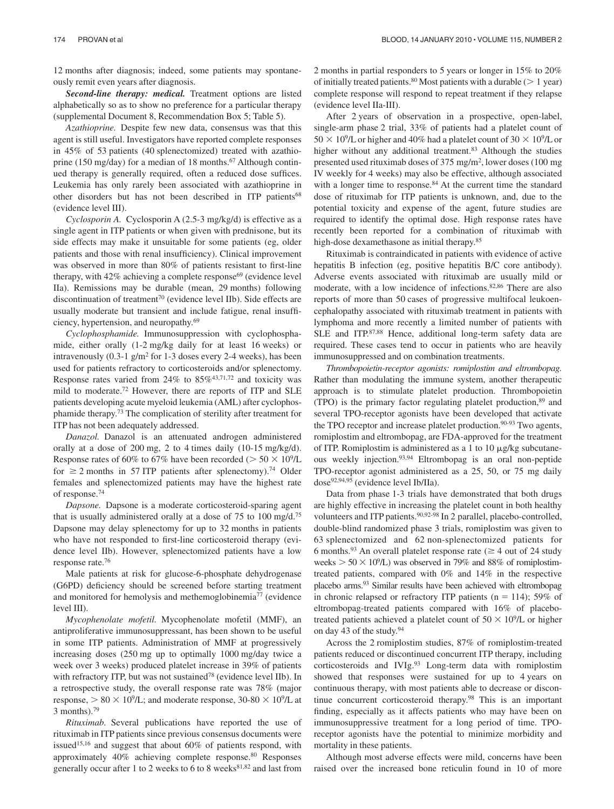12 months after diagnosis; indeed, some patients may spontaneously remit even years after diagnosis.

*Second-line therapy: medical.* Treatment options are listed alphabetically so as to show no preference for a particular therapy (supplemental Document 8, Recommendation Box 5; Table 5).

*Azathioprine.* Despite few new data, consensus was that this agent is still useful. Investigators have reported complete responses in 45% of 53 patients (40 splenectomized) treated with azathioprine (150 mg/day) for a median of 18 months.<sup>67</sup> Although continued therapy is generally required, often a reduced dose suffices. Leukemia has only rarely been associated with azathioprine in other disorders but has not been described in ITP patients<sup>68</sup> (evidence level III).

*Cyclosporin A.* Cyclosporin A (2.5-3 mg/kg/d) is effective as a single agent in ITP patients or when given with prednisone, but its side effects may make it unsuitable for some patients (eg, older patients and those with renal insufficiency). Clinical improvement was observed in more than 80% of patients resistant to first-line therapy, with  $42\%$  achieving a complete response<sup>69</sup> (evidence level IIa). Remissions may be durable (mean, 29 months) following discontinuation of treatment<sup>70</sup> (evidence level IIb). Side effects are usually moderate but transient and include fatigue, renal insufficiency, hypertension, and neuropathy.69

*Cyclophosphamide.* Immunosuppression with cyclophosphamide, either orally (1-2 mg/kg daily for at least 16 weeks) or intravenously  $(0.3-1 \text{ g/m}^2 \text{ for } 1-3 \text{ doses every } 2-4 \text{ weeks})$ , has been used for patients refractory to corticosteroids and/or splenectomy. Response rates varied from 24% to 85%43,71,72 and toxicity was mild to moderate.72 However, there are reports of ITP and SLE patients developing acute myeloid leukemia (AML) after cyclophosphamide therapy.73 The complication of sterility after treatment for ITP has not been adequately addressed.

*Danazol.* Danazol is an attenuated androgen administered orally at a dose of 200 mg, 2 to 4 times daily (10-15 mg/kg/d). Response rates of 60% to 67% have been recorded ( $> 50 \times 10^9$ /L for  $\geq$  2 months in 57 ITP patients after splenectomy).<sup>74</sup> Older females and splenectomized patients may have the highest rate of response.74

*Dapsone.* Dapsone is a moderate corticosteroid-sparing agent that is usually administered orally at a dose of 75 to 100 mg/d.75 Dapsone may delay splenectomy for up to 32 months in patients who have not responded to first-line corticosteroid therapy (evidence level IIb). However, splenectomized patients have a low response rate.76

Male patients at risk for glucose-6-phosphate dehydrogenase (G6PD) deficiency should be screened before starting treatment and monitored for hemolysis and methemoglobinemia77 (evidence level III).

*Mycophenolate mofetil.* Mycophenolate mofetil (MMF), an antiproliferative immunosuppressant, has been shown to be useful in some ITP patients. Administration of MMF at progressively increasing doses (250 mg up to optimally 1000 mg/day twice a week over 3 weeks) produced platelet increase in 39% of patients with refractory ITP, but was not sustained<sup>78</sup> (evidence level IIb). In a retrospective study, the overall response rate was 78% (major response,  $> 80 \times 10^9$ /L; and moderate response,  $30\text{-}80 \times 10^9$ /L at 3 months).79

*Rituximab.* Several publications have reported the use of rituximab in ITP patients since previous consensus documents were issued<sup>15,16</sup> and suggest that about 60% of patients respond, with approximately 40% achieving complete response.80 Responses generally occur after 1 to 2 weeks to 6 to 8 weeks<sup>81,82</sup> and last from 2 months in partial responders to 5 years or longer in 15% to 20% of initially treated patients.<sup>80</sup> Most patients with a durable ( $> 1$  year) complete response will respond to repeat treatment if they relapse (evidence level IIa-III).

After 2 years of observation in a prospective, open-label, single-arm phase 2 trial, 33% of patients had a platelet count of  $50 \times 10^9$ /L or higher and 40% had a platelet count of 30  $\times 10^9$ /L or higher without any additional treatment.<sup>83</sup> Although the studies presented used rituximab doses of 375 mg/m2, lower doses (100 mg IV weekly for 4 weeks) may also be effective, although associated with a longer time to response.<sup>84</sup> At the current time the standard dose of rituximab for ITP patients is unknown, and, due to the potential toxicity and expense of the agent, future studies are required to identify the optimal dose. High response rates have recently been reported for a combination of rituximab with high-dose dexamethasone as initial therapy.85

Rituximab is contraindicated in patients with evidence of active hepatitis B infection (eg, positive hepatitis B/C core antibody). Adverse events associated with rituximab are usually mild or moderate, with a low incidence of infections.82,86 There are also reports of more than 50 cases of progressive multifocal leukoencephalopathy associated with rituximab treatment in patients with lymphoma and more recently a limited number of patients with SLE and ITP.87,88 Hence, additional long-term safety data are required. These cases tend to occur in patients who are heavily immunosuppressed and on combination treatments.

*Thrombopoietin-receptor agonists: romiplostim and eltrombopag.* Rather than modulating the immune system, another therapeutic approach is to stimulate platelet production. Thrombopoietin (TPO) is the primary factor regulating platelet production,89 and several TPO-receptor agonists have been developed that activate the TPO receptor and increase platelet production.<sup>90-93</sup> Two agents, romiplostim and eltrombopag, are FDA-approved for the treatment of ITP. Romiplostim is administered as a 1 to 10  $\mu$ g/kg subcutaneous weekly injection.93,94 Eltrombopag is an oral non-peptide TPO-receptor agonist administered as a 25, 50, or 75 mg daily dose92,94,95 (evidence level Ib/IIa).

Data from phase 1-3 trials have demonstrated that both drugs are highly effective in increasing the platelet count in both healthy volunteers and ITP patients.90,92-98 In 2 parallel, placebo-controlled, double-blind randomized phase 3 trials, romiplostim was given to 63 splenectomized and 62 non-splenectomized patients for 6 months.<sup>93</sup> An overall platelet response rate ( $\geq 4$  out of 24 study weeks  $> 50 \times 10^9$ /L) was observed in 79% and 88% of romiplostimtreated patients, compared with 0% and 14% in the respective placebo arms.93 Similar results have been achieved with eltrombopag in chronic relapsed or refractory ITP patients ( $n = 114$ ); 59% of eltrombopag-treated patients compared with 16% of placebotreated patients achieved a platelet count of  $50 \times 10^9$ /L or higher on day 43 of the study.94

Across the 2 romiplostim studies, 87% of romiplostim-treated patients reduced or discontinued concurrent ITP therapy, including corticosteroids and IVIg.93 Long-term data with romiplostim showed that responses were sustained for up to 4 years on continuous therapy, with most patients able to decrease or discontinue concurrent corticosteroid therapy.98 This is an important finding, especially as it affects patients who may have been on immunosuppressive treatment for a long period of time. TPOreceptor agonists have the potential to minimize morbidity and mortality in these patients.

Although most adverse effects were mild, concerns have been raised over the increased bone reticulin found in 10 of more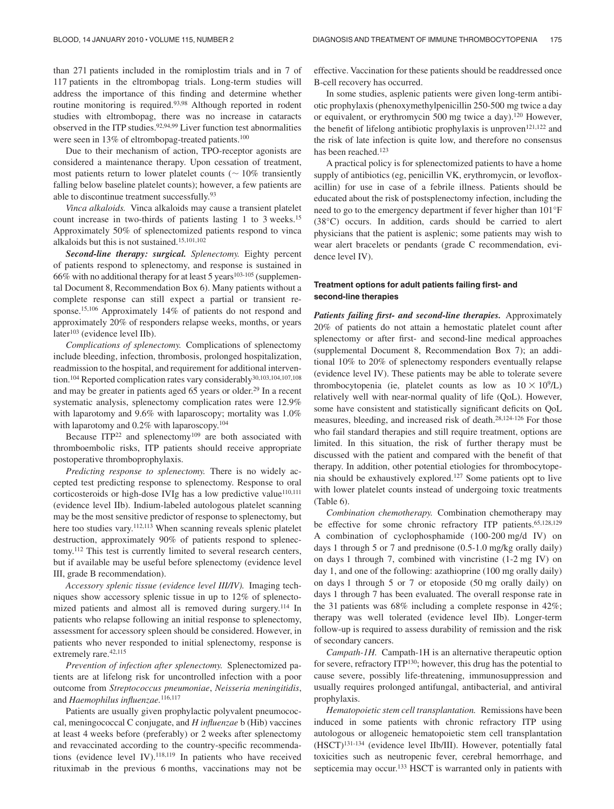than 271 patients included in the romiplostim trials and in 7 of 117 patients in the eltrombopag trials. Long-term studies will address the importance of this finding and determine whether routine monitoring is required.93,98 Although reported in rodent studies with eltrombopag, there was no increase in cataracts observed in the ITP studies.92,94,99 Liver function test abnormalities were seen in 13% of eltrombopag-treated patients.<sup>100</sup>

Due to their mechanism of action, TPO-receptor agonists are considered a maintenance therapy. Upon cessation of treatment, most patients return to lower platelet counts ( $\sim 10\%$  transiently falling below baseline platelet counts); however, a few patients are able to discontinue treatment successfully.93

*Vinca alkaloids.* Vinca alkaloids may cause a transient platelet count increase in two-thirds of patients lasting 1 to 3 weeks.15 Approximately 50% of splenectomized patients respond to vinca alkaloids but this is not sustained.15,101,102

*Second-line therapy: surgical. Splenectomy.* Eighty percent of patients respond to splenectomy, and response is sustained in  $66\%$  with no additional therapy for at least 5 years<sup>103-105</sup> (supplemental Document 8, Recommendation Box 6). Many patients without a complete response can still expect a partial or transient response.15,106 Approximately 14% of patients do not respond and approximately 20% of responders relapse weeks, months, or years later<sup>103</sup> (evidence level IIb).

*Complications of splenectomy.* Complications of splenectomy include bleeding, infection, thrombosis, prolonged hospitalization, readmission to the hospital, and requirement for additional intervention.<sup>104</sup> Reported complication rates vary considerably<sup>30,103,104,107,108</sup> and may be greater in patients aged 65 years or older.29 In a recent systematic analysis, splenectomy complication rates were 12.9% with laparotomy and 9.6% with laparoscopy; mortality was 1.0% with laparotomy and 0.2% with laparoscopy.104

Because ITP<sup>22</sup> and splenectomy<sup>109</sup> are both associated with thromboembolic risks, ITP patients should receive appropriate postoperative thromboprophylaxis.

*Predicting response to splenectomy.* There is no widely accepted test predicting response to splenectomy. Response to oral corticosteroids or high-dose IVIg has a low predictive value $110,111$ (evidence level IIb). Indium-labeled autologous platelet scanning may be the most sensitive predictor of response to splenectomy, but here too studies vary.<sup>112,113</sup> When scanning reveals splenic platelet destruction, approximately 90% of patients respond to splenectomy.112 This test is currently limited to several research centers, but if available may be useful before splenectomy (evidence level III, grade B recommendation).

*Accessory splenic tissue (evidence level III/IV).* Imaging techniques show accessory splenic tissue in up to 12% of splenectomized patients and almost all is removed during surgery.<sup>114</sup> In patients who relapse following an initial response to splenectomy, assessment for accessory spleen should be considered. However, in patients who never responded to initial splenectomy, response is extremely rare.<sup>42,115</sup>

*Prevention of infection after splenectomy.* Splenectomized patients are at lifelong risk for uncontrolled infection with a poor outcome from *Streptococcus pneumoniae*, *Neisseria meningitidis*, and *Haemophilus influenzae.*116,117

Patients are usually given prophylactic polyvalent pneumococcal, meningococcal C conjugate, and *H influenzae* b (Hib) vaccines at least 4 weeks before (preferably) or 2 weeks after splenectomy and revaccinated according to the country-specific recommendations (evidence level IV).<sup>118,119</sup> In patients who have received rituximab in the previous 6 months, vaccinations may not be effective. Vaccination for these patients should be readdressed once B-cell recovery has occurred.

In some studies, asplenic patients were given long-term antibiotic prophylaxis (phenoxymethylpenicillin 250-500 mg twice a day or equivalent, or erythromycin 500 mg twice a day).120 However, the benefit of lifelong antibiotic prophylaxis is unproven<sup>121,122</sup> and the risk of late infection is quite low, and therefore no consensus has been reached.123

A practical policy is for splenectomized patients to have a home supply of antibiotics (eg, penicillin VK, erythromycin, or levofloxacillin) for use in case of a febrile illness. Patients should be educated about the risk of postsplenectomy infection, including the need to go to the emergency department if fever higher than 101°F (38°C) occurs. In addition, cards should be carried to alert physicians that the patient is asplenic; some patients may wish to wear alert bracelets or pendants (grade C recommendation, evidence level IV).

### **Treatment options for adult patients failing first- and second-line therapies**

*Patients failing first- and second-line therapies.* Approximately 20% of patients do not attain a hemostatic platelet count after splenectomy or after first- and second-line medical approaches (supplemental Document 8, Recommendation Box 7); an additional 10% to 20% of splenectomy responders eventually relapse (evidence level IV). These patients may be able to tolerate severe thrombocytopenia (ie, platelet counts as low as  $10 \times 10^9$ /L) relatively well with near-normal quality of life (QoL). However, some have consistent and statistically significant deficits on QoL measures, bleeding, and increased risk of death.28,124-126 For those who fail standard therapies and still require treatment, options are limited. In this situation, the risk of further therapy must be discussed with the patient and compared with the benefit of that therapy. In addition, other potential etiologies for thrombocytopenia should be exhaustively explored.127 Some patients opt to live with lower platelet counts instead of undergoing toxic treatments (Table 6).

*Combination chemotherapy.* Combination chemotherapy may be effective for some chronic refractory ITP patients.65,128,129 A combination of cyclophosphamide (100-200 mg/d IV) on days 1 through 5 or 7 and prednisone (0.5-1.0 mg/kg orally daily) on days 1 through 7, combined with vincristine (1-2 mg IV) on day 1, and one of the following: azathioprine (100 mg orally daily) on days 1 through 5 or 7 or etoposide (50 mg orally daily) on days 1 through 7 has been evaluated. The overall response rate in the 31 patients was 68% including a complete response in 42%; therapy was well tolerated (evidence level IIb). Longer-term follow-up is required to assess durability of remission and the risk of secondary cancers.

*Campath-1H.* Campath-1H is an alternative therapeutic option for severe, refractory ITP130; however, this drug has the potential to cause severe, possibly life-threatening, immunosuppression and usually requires prolonged antifungal, antibacterial, and antiviral prophylaxis.

*Hematopoietic stem cell transplantation.* Remissions have been induced in some patients with chronic refractory ITP using autologous or allogeneic hematopoietic stem cell transplantation (HSCT)131-134 (evidence level IIb/III). However, potentially fatal toxicities such as neutropenic fever, cerebral hemorrhage, and septicemia may occur.<sup>133</sup> HSCT is warranted only in patients with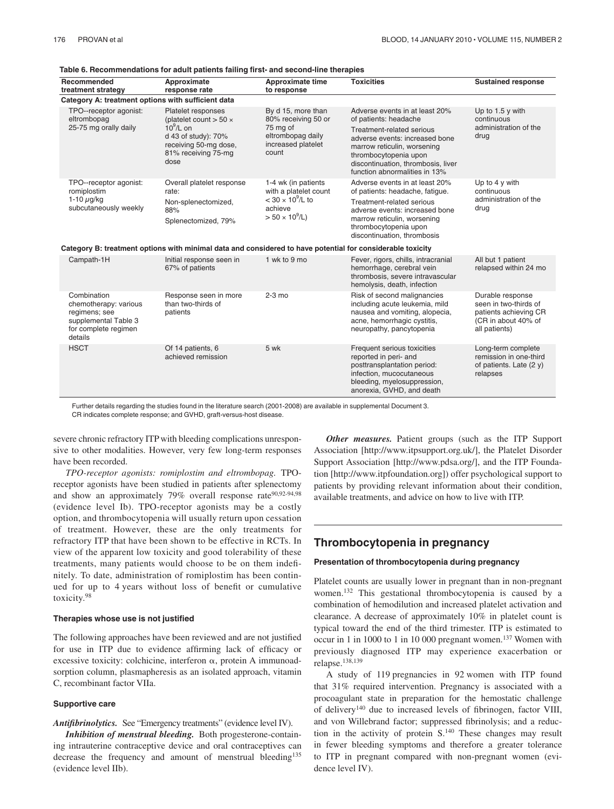| Table 6. Recommendations for adult patients failing first- and second-line therapies |  |  |
|--------------------------------------------------------------------------------------|--|--|
|                                                                                      |  |  |

| Recommended<br>treatment strategy                                                                                | Approximate<br>response rate                                                                                                           | <b>Approximate time</b><br>to response                                       | <b>Toxicities</b>                                                                                                                                                                          | <b>Sustained response</b>                                                                                  |
|------------------------------------------------------------------------------------------------------------------|----------------------------------------------------------------------------------------------------------------------------------------|------------------------------------------------------------------------------|--------------------------------------------------------------------------------------------------------------------------------------------------------------------------------------------|------------------------------------------------------------------------------------------------------------|
| Category A: treatment options with sufficient data                                                               |                                                                                                                                        |                                                                              |                                                                                                                                                                                            |                                                                                                            |
| TPO--receptor agonist:<br>eltrombopag                                                                            | Platelet responses<br>(platelet count $>$ 50 $\times$                                                                                  | By d 15, more than<br>80% receiving 50 or                                    | Adverse events in at least 20%<br>of patients: headache                                                                                                                                    | Up to $1.5$ y with<br>continuous                                                                           |
| 25-75 mg orally daily                                                                                            | $10^9$ /L on<br>d 43 of study): $70\%$<br>receiving 50-mg dose,<br>81% receiving 75-mg<br>dose                                         | 75 mg of<br>eltrombopag daily<br>increased platelet<br>count                 | Treatment-related serious<br>adverse events: increased bone<br>marrow reticulin, worsening<br>thrombocytopenia upon<br>discontinuation, thrombosis, liver<br>function abnormalities in 13% | administration of the<br>drug                                                                              |
| TPO--receptor agonist:<br>romiplostim                                                                            | Overall platelet response<br>rate:                                                                                                     | 1-4 wk (in patients<br>with a platelet count                                 | Adverse events in at least 20%<br>of patients: headache, fatique.                                                                                                                          | Up to 4 y with<br>continuous                                                                               |
| 1-10 $\mu$ g/kg<br>subcutaneously weekly                                                                         | Non-splenectomized,<br>88%<br>Splenectomized, 79%                                                                                      | $<$ 30 $\times$ 10 <sup>9</sup> /L to<br>achieve<br>$> 50 \times 10^{9}$ /L) | Treatment-related serious<br>adverse events: increased bone<br>marrow reticulin, worsening                                                                                                 | administration of the<br>drug                                                                              |
|                                                                                                                  |                                                                                                                                        |                                                                              | thrombocytopenia upon<br>discontinuation, thrombosis                                                                                                                                       |                                                                                                            |
| Campath-1H                                                                                                       | Category B: treatment options with minimal data and considered to have potential for considerable toxicity<br>Initial response seen in | 1 wk to 9 mo                                                                 | Fever, rigors, chills, intracranial                                                                                                                                                        | All but 1 patient                                                                                          |
|                                                                                                                  | 67% of patients                                                                                                                        |                                                                              | hemorrhage, cerebral vein<br>thrombosis, severe intravascular<br>hemolysis, death, infection                                                                                               | relapsed within 24 mo                                                                                      |
| Combination<br>chemotherapy: various<br>regimens; see<br>supplemental Table 3<br>for complete regimen<br>details | Response seen in more<br>than two-thirds of<br>patients                                                                                | $2-3$ mo                                                                     | Risk of second malignancies<br>including acute leukemia, mild<br>nausea and vomiting, alopecia,<br>acne, hemorrhagic cystitis,<br>neuropathy, pancytopenia                                 | Durable response<br>seen in two-thirds of<br>patients achieving CR<br>(CR in about 40% of<br>all patients) |
| <b>HSCT</b>                                                                                                      | Of 14 patients, 6<br>achieved remission                                                                                                | 5 wk                                                                         | Frequent serious toxicities<br>reported in peri- and<br>posttransplantation period:<br>infection, mucocutaneous<br>bleeding, myelosuppression,<br>anorexia, GVHD, and death                | Long-term complete<br>remission in one-third<br>of patients. Late (2 y)<br>relapses                        |

Further details regarding the studies found in the literature search (2001-2008) are available in supplemental Document 3. CR indicates complete response; and GVHD, graft-versus-host disease.

severe chronic refractory ITP with bleeding complications unresponsive to other modalities. However, very few long-term responses have been recorded.

*TPO-receptor agonists: romiplostim and eltrombopag.* TPOreceptor agonists have been studied in patients after splenectomy and show an approximately  $79\%$  overall response rate  $90,92-94,98$ (evidence level Ib). TPO-receptor agonists may be a costly option, and thrombocytopenia will usually return upon cessation of treatment. However, these are the only treatments for refractory ITP that have been shown to be effective in RCTs. In view of the apparent low toxicity and good tolerability of these treatments, many patients would choose to be on them indefinitely. To date, administration of romiplostim has been continued for up to 4 years without loss of benefit or cumulative toxicity.98

#### **Therapies whose use is not justified**

The following approaches have been reviewed and are not justified for use in ITP due to evidence affirming lack of efficacy or excessive toxicity: colchicine, interferon  $\alpha$ , protein A immunoadsorption column, plasmapheresis as an isolated approach, vitamin C, recombinant factor VIIa.

#### **Supportive care**

# *Antifibrinolytics.* See "Emergency treatments" (evidence level IV).

*Inhibition of menstrual bleeding.* Both progesterone-containing intrauterine contraceptive device and oral contraceptives can decrease the frequency and amount of menstrual bleeding<sup>135</sup> (evidence level IIb).

*Other measures.* Patient groups (such as the ITP Support Association [http://www.itpsupport.org.uk/], the Platelet Disorder Support Association [http://www.pdsa.org/], and the ITP Foundation [http://www.itpfoundation.org]) offer psychological support to patients by providing relevant information about their condition, available treatments, and advice on how to live with ITP.

# **Thrombocytopenia in pregnancy**

#### **Presentation of thrombocytopenia during pregnancy**

Platelet counts are usually lower in pregnant than in non-pregnant women.132 This gestational thrombocytopenia is caused by a combination of hemodilution and increased platelet activation and clearance. A decrease of approximately 10% in platelet count is typical toward the end of the third trimester. ITP is estimated to occur in 1 in 1000 to 1 in 10 000 pregnant women.137 Women with previously diagnosed ITP may experience exacerbation or relapse.138,139

A study of 119 pregnancies in 92 women with ITP found that 31% required intervention. Pregnancy is associated with a procoagulant state in preparation for the hemostatic challenge of delivery140 due to increased levels of fibrinogen, factor VIII, and von Willebrand factor; suppressed fibrinolysis; and a reduction in the activity of protein S.140 These changes may result in fewer bleeding symptoms and therefore a greater tolerance to ITP in pregnant compared with non-pregnant women (evidence level IV).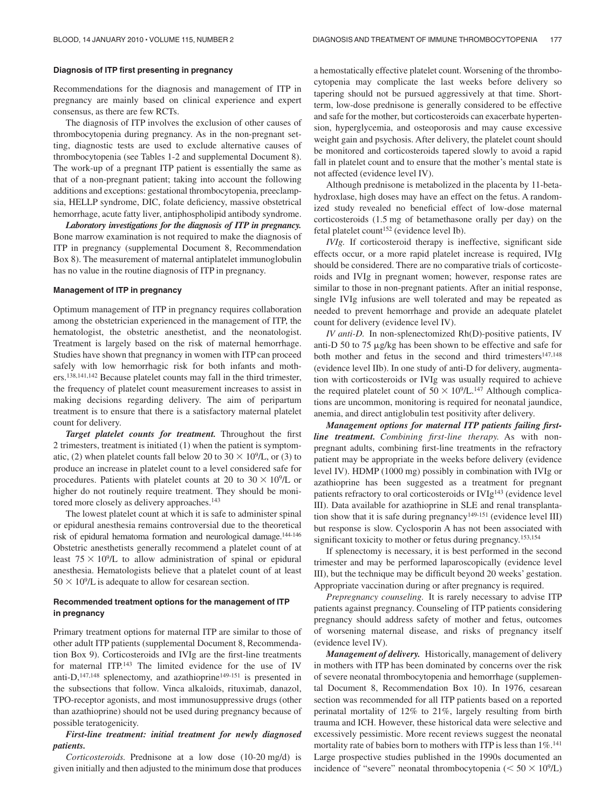#### **Diagnosis of ITP first presenting in pregnancy**

Recommendations for the diagnosis and management of ITP in pregnancy are mainly based on clinical experience and expert consensus, as there are few RCTs.

The diagnosis of ITP involves the exclusion of other causes of thrombocytopenia during pregnancy. As in the non-pregnant setting, diagnostic tests are used to exclude alternative causes of thrombocytopenia (see Tables 1-2 and supplemental Document 8). The work-up of a pregnant ITP patient is essentially the same as that of a non-pregnant patient; taking into account the following additions and exceptions: gestational thrombocytopenia, preeclampsia, HELLP syndrome, DIC, folate deficiency, massive obstetrical hemorrhage, acute fatty liver, antiphospholipid antibody syndrome.

*Laboratory investigations for the diagnosis of ITP in pregnancy.* Bone marrow examination is not required to make the diagnosis of ITP in pregnancy (supplemental Document 8, Recommendation Box 8). The measurement of maternal antiplatelet immunoglobulin has no value in the routine diagnosis of ITP in pregnancy.

#### **Management of ITP in pregnancy**

Optimum management of ITP in pregnancy requires collaboration among the obstetrician experienced in the management of ITP, the hematologist, the obstetric anesthetist, and the neonatologist. Treatment is largely based on the risk of maternal hemorrhage. Studies have shown that pregnancy in women with ITP can proceed safely with low hemorrhagic risk for both infants and mothers.138,141,142 Because platelet counts may fall in the third trimester, the frequency of platelet count measurement increases to assist in making decisions regarding delivery. The aim of peripartum treatment is to ensure that there is a satisfactory maternal platelet count for delivery.

*Target platelet counts for treatment.* Throughout the first 2 trimesters, treatment is initiated (1) when the patient is symptomatic, (2) when platelet counts fall below 20 to 30  $\times$  10<sup>9</sup>/L, or (3) to produce an increase in platelet count to a level considered safe for procedures. Patients with platelet counts at 20 to  $30 \times 10^9$ /L or higher do not routinely require treatment. They should be monitored more closely as delivery approaches.<sup>143</sup>

The lowest platelet count at which it is safe to administer spinal or epidural anesthesia remains controversial due to the theoretical risk of epidural hematoma formation and neurological damage.144-146 Obstetric anesthetists generally recommend a platelet count of at least  $75 \times 10^9$ /L to allow administration of spinal or epidural anesthesia. Hematologists believe that a platelet count of at least  $50 \times 10^9$ /L is adequate to allow for cesarean section.

### **Recommended treatment options for the management of ITP in pregnancy**

Primary treatment options for maternal ITP are similar to those of other adult ITP patients (supplemental Document 8, Recommendation Box 9). Corticosteroids and IVIg are the first-line treatments for maternal ITP.143 The limited evidence for the use of IV anti-D, $^{147,148}$  splenectomy, and azathioprine<sup>149-151</sup> is presented in the subsections that follow. Vinca alkaloids, rituximab, danazol, TPO-receptor agonists, and most immunosuppressive drugs (other than azathioprine) should not be used during pregnancy because of possible teratogenicity.

*First-line treatment: initial treatment for newly diagnosed patients.*

*Corticosteroids.* Prednisone at a low dose (10-20 mg/d) is given initially and then adjusted to the minimum dose that produces a hemostatically effective platelet count. Worsening of the thrombocytopenia may complicate the last weeks before delivery so tapering should not be pursued aggressively at that time. Shortterm, low-dose prednisone is generally considered to be effective and safe for the mother, but corticosteroids can exacerbate hypertension, hyperglycemia, and osteoporosis and may cause excessive weight gain and psychosis. After delivery, the platelet count should be monitored and corticosteroids tapered slowly to avoid a rapid fall in platelet count and to ensure that the mother's mental state is not affected (evidence level IV).

Although prednisone is metabolized in the placenta by 11-betahydroxlase, high doses may have an effect on the fetus. A randomized study revealed no beneficial effect of low-dose maternal corticosteroids (1.5 mg of betamethasone orally per day) on the fetal platelet count<sup>152</sup> (evidence level Ib).

*IVIg.* If corticosteroid therapy is ineffective, significant side effects occur, or a more rapid platelet increase is required, IVIg should be considered. There are no comparative trials of corticosteroids and IVIg in pregnant women; however, response rates are similar to those in non-pregnant patients. After an initial response, single IVIg infusions are well tolerated and may be repeated as needed to prevent hemorrhage and provide an adequate platelet count for delivery (evidence level IV).

*IV anti-D.* In non-splenectomized Rh(D)-positive patients, IV anti-D 50 to 75  $\mu$ g/kg has been shown to be effective and safe for both mother and fetus in the second and third trimesters<sup>147,148</sup> (evidence level IIb). In one study of anti-D for delivery, augmentation with corticosteroids or IVIg was usually required to achieve the required platelet count of  $50 \times 10^9$ /L.<sup>147</sup> Although complications are uncommon, monitoring is required for neonatal jaundice, anemia, and direct antiglobulin test positivity after delivery.

*Management options for maternal ITP patients failing firstline treatment. Combining first-line therapy.* As with nonpregnant adults, combining first-line treatments in the refractory patient may be appropriate in the weeks before delivery (evidence level IV). HDMP (1000 mg) possibly in combination with IVIg or azathioprine has been suggested as a treatment for pregnant patients refractory to oral corticosteroids or IVIg143 (evidence level III). Data available for azathioprine in SLE and renal transplantation show that it is safe during pregnancy<sup>149-151</sup> (evidence level III) but response is slow. Cyclosporin A has not been associated with significant toxicity to mother or fetus during pregnancy.<sup>153,154</sup>

If splenectomy is necessary, it is best performed in the second trimester and may be performed laparoscopically (evidence level III), but the technique may be difficult beyond 20 weeks' gestation. Appropriate vaccination during or after pregnancy is required.

*Prepregnancy counseling.* It is rarely necessary to advise ITP patients against pregnancy. Counseling of ITP patients considering pregnancy should address safety of mother and fetus, outcomes of worsening maternal disease, and risks of pregnancy itself (evidence level IV).

*Management of delivery.* Historically, management of delivery in mothers with ITP has been dominated by concerns over the risk of severe neonatal thrombocytopenia and hemorrhage (supplemental Document 8, Recommendation Box 10). In 1976, cesarean section was recommended for all ITP patients based on a reported perinatal mortality of 12% to 21%, largely resulting from birth trauma and ICH. However, these historical data were selective and excessively pessimistic. More recent reviews suggest the neonatal mortality rate of babies born to mothers with ITP is less than  $1\%$ .<sup>141</sup> Large prospective studies published in the 1990s documented an incidence of "severe" neonatal thrombocytopenia ( $\leq 50 \times 10^9$ /L)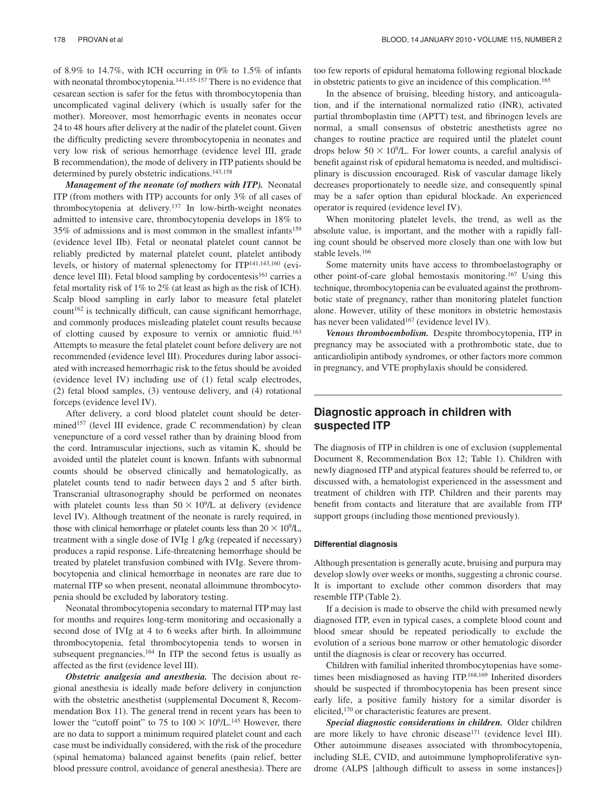of 8.9% to 14.7%, with ICH occurring in 0% to 1.5% of infants with neonatal thrombocytopenia.<sup>141,155-157</sup> There is no evidence that cesarean section is safer for the fetus with thrombocytopenia than uncomplicated vaginal delivery (which is usually safer for the mother). Moreover, most hemorrhagic events in neonates occur 24 to 48 hours after delivery at the nadir of the platelet count. Given the difficulty predicting severe thrombocytopenia in neonates and very low risk of serious hemorrhage (evidence level III, grade B recommendation), the mode of delivery in ITP patients should be determined by purely obstetric indications.143,158

*Management of the neonate (of mothers with ITP).* Neonatal ITP (from mothers with ITP) accounts for only 3% of all cases of thrombocytopenia at delivery.137 In low-birth-weight neonates admitted to intensive care, thrombocytopenia develops in 18% to  $35\%$  of admissions and is most common in the smallest infants<sup>159</sup> (evidence level IIb). Fetal or neonatal platelet count cannot be reliably predicted by maternal platelet count, platelet antibody levels, or history of maternal splenectomy for ITP141,143,160 (evidence level III). Fetal blood sampling by cordocentesis<sup>161</sup> carries a fetal mortality risk of 1% to 2% (at least as high as the risk of ICH). Scalp blood sampling in early labor to measure fetal platelet count<sup>162</sup> is technically difficult, can cause significant hemorrhage, and commonly produces misleading platelet count results because of clotting caused by exposure to vernix or amniotic fluid.163 Attempts to measure the fetal platelet count before delivery are not recommended (evidence level III). Procedures during labor associated with increased hemorrhagic risk to the fetus should be avoided (evidence level IV) including use of (1) fetal scalp electrodes, (2) fetal blood samples, (3) ventouse delivery, and (4) rotational forceps (evidence level IV).

After delivery, a cord blood platelet count should be determined<sup>157</sup> (level III evidence, grade C recommendation) by clean venepuncture of a cord vessel rather than by draining blood from the cord. Intramuscular injections, such as vitamin K, should be avoided until the platelet count is known. Infants with subnormal counts should be observed clinically and hematologically, as platelet counts tend to nadir between days 2 and 5 after birth. Transcranial ultrasonography should be performed on neonates with platelet counts less than  $50 \times 10^9$ /L at delivery (evidence level IV). Although treatment of the neonate is rarely required, in those with clinical hemorrhage or platelet counts less than  $20 \times 10^9$ /L, treatment with a single dose of IVIg 1 g/kg (repeated if necessary) produces a rapid response. Life-threatening hemorrhage should be treated by platelet transfusion combined with IVIg. Severe thrombocytopenia and clinical hemorrhage in neonates are rare due to maternal ITP so when present, neonatal alloimmune thrombocytopenia should be excluded by laboratory testing.

Neonatal thrombocytopenia secondary to maternal ITP may last for months and requires long-term monitoring and occasionally a second dose of IVIg at 4 to 6 weeks after birth. In alloimmune thrombocytopenia, fetal thrombocytopenia tends to worsen in subsequent pregnancies.<sup>164</sup> In ITP the second fetus is usually as affected as the first (evidence level III).

*Obstetric analgesia and anesthesia.* The decision about regional anesthesia is ideally made before delivery in conjunction with the obstetric anesthetist (supplemental Document 8, Recommendation Box 11). The general trend in recent years has been to lower the "cutoff point" to 75 to  $100 \times 10^9$ /L.<sup>145</sup> However, there are no data to support a minimum required platelet count and each case must be individually considered, with the risk of the procedure (spinal hematoma) balanced against benefits (pain relief, better blood pressure control, avoidance of general anesthesia). There are too few reports of epidural hematoma following regional blockade in obstetric patients to give an incidence of this complication.<sup>165</sup>

In the absence of bruising, bleeding history, and anticoagulation, and if the international normalized ratio (INR), activated partial thromboplastin time (APTT) test, and fibrinogen levels are normal, a small consensus of obstetric anesthetists agree no changes to routine practice are required until the platelet count drops below  $50 \times 10^9$ /L. For lower counts, a careful analysis of benefit against risk of epidural hematoma is needed, and multidisciplinary is discussion encouraged. Risk of vascular damage likely decreases proportionately to needle size, and consequently spinal may be a safer option than epidural blockade. An experienced operator is required (evidence level IV).

When monitoring platelet levels, the trend, as well as the absolute value, is important, and the mother with a rapidly falling count should be observed more closely than one with low but stable levels.166

Some maternity units have access to thromboelastography or other point-of-care global hemostasis monitoring.167 Using this technique, thrombocytopenia can be evaluated against the prothrombotic state of pregnancy, rather than monitoring platelet function alone. However, utility of these monitors in obstetric hemostasis has never been validated<sup>167</sup> (evidence level IV).

*Venous thromboembolism.* Despite thrombocytopenia, ITP in pregnancy may be associated with a prothrombotic state, due to anticardiolipin antibody syndromes, or other factors more common in pregnancy, and VTE prophylaxis should be considered.

# **Diagnostic approach in children with suspected ITP**

The diagnosis of ITP in children is one of exclusion (supplemental Document 8, Recommendation Box 12; Table 1). Children with newly diagnosed ITP and atypical features should be referred to, or discussed with, a hematologist experienced in the assessment and treatment of children with ITP. Children and their parents may benefit from contacts and literature that are available from ITP support groups (including those mentioned previously).

#### **Differential diagnosis**

Although presentation is generally acute, bruising and purpura may develop slowly over weeks or months, suggesting a chronic course. It is important to exclude other common disorders that may resemble ITP (Table 2).

If a decision is made to observe the child with presumed newly diagnosed ITP, even in typical cases, a complete blood count and blood smear should be repeated periodically to exclude the evolution of a serious bone marrow or other hematologic disorder until the diagnosis is clear or recovery has occurred.

Children with familial inherited thrombocytopenias have sometimes been misdiagnosed as having ITP.168,169 Inherited disorders should be suspected if thrombocytopenia has been present since early life, a positive family history for a similar disorder is elicited,170 or characteristic features are present.

*Special diagnostic considerations in children.* Older children are more likely to have chronic disease<sup>171</sup> (evidence level III). Other autoimmune diseases associated with thrombocytopenia, including SLE, CVID, and autoimmune lymphoproliferative syndrome (ALPS [although difficult to assess in some instances])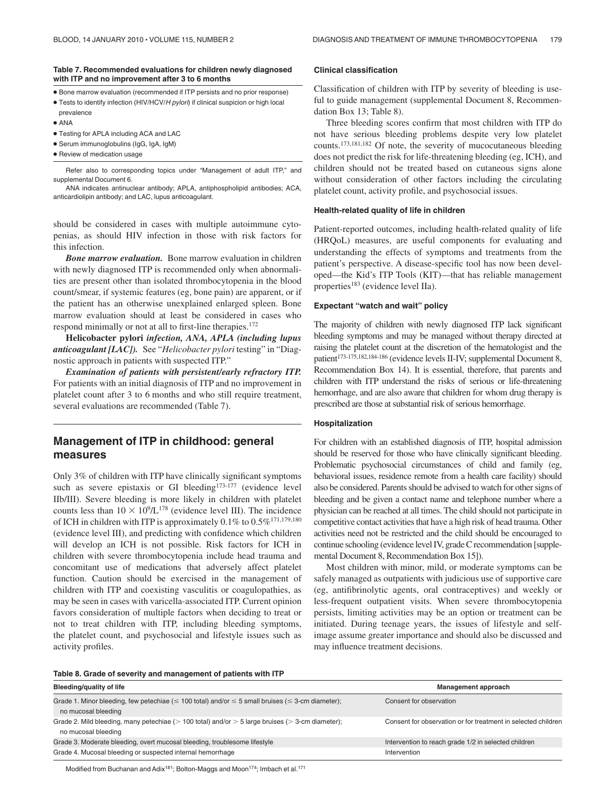#### **Table 7. Recommended evaluations for children newly diagnosed with ITP and no improvement after 3 to 6 months**

- Bone marrow evaluation (recommended if ITP persists and no prior response) ● Tests to identify infection (HIV/HCV/*H pylori*) if clinical suspicion or high local
- prevalence  $\bullet$  ANA
- 
- Testing for APLA including ACA and LAC
- Serum immunoglobulins (IgG, IgA, IgM)
- Review of medication usage

Refer also to corresponding topics under "Management of adult ITP," and supplemental Document 6.

ANA indicates antinuclear antibody; APLA, antiphospholipid antibodies; ACA, anticardiolipin antibody; and LAC, lupus anticoagulant.

should be considered in cases with multiple autoimmune cytopenias, as should HIV infection in those with risk factors for this infection.

*Bone marrow evaluation.* Bone marrow evaluation in children with newly diagnosed ITP is recommended only when abnormalities are present other than isolated thrombocytopenia in the blood count/smear, if systemic features (eg, bone pain) are apparent, or if the patient has an otherwise unexplained enlarged spleen. Bone marrow evaluation should at least be considered in cases who respond minimally or not at all to first-line therapies.<sup>172</sup>

**Helicobacter pylori** *infection, ANA, APLA (including lupus anticoagulant [LAC]).* See "*Helicobacter pylori* testing" in "Diagnostic approach in patients with suspected ITP."

*Examination of patients with persistent/early refractory ITP.* For patients with an initial diagnosis of ITP and no improvement in platelet count after 3 to 6 months and who still require treatment, several evaluations are recommended (Table 7).

# **Management of ITP in childhood: general measures**

Only 3% of children with ITP have clinically significant symptoms such as severe epistaxis or GI bleeding<sup>173-177</sup> (evidence level IIb/III). Severe bleeding is more likely in children with platelet counts less than  $10 \times 10^9/L^{178}$  (evidence level III). The incidence of ICH in children with ITP is approximately 0.1% to  $0.5\%$ <sup>171,179,180</sup> (evidence level III), and predicting with confidence which children will develop an ICH is not possible. Risk factors for ICH in children with severe thrombocytopenia include head trauma and concomitant use of medications that adversely affect platelet function. Caution should be exercised in the management of children with ITP and coexisting vasculitis or coagulopathies, as may be seen in cases with varicella-associated ITP. Current opinion favors consideration of multiple factors when deciding to treat or not to treat children with ITP, including bleeding symptoms, the platelet count, and psychosocial and lifestyle issues such as activity profiles.

#### **Clinical classification**

Classification of children with ITP by severity of bleeding is useful to guide management (supplemental Document 8, Recommendation Box 13; Table 8).

Three bleeding scores confirm that most children with ITP do not have serious bleeding problems despite very low platelet counts.173,181,182 Of note, the severity of mucocutaneous bleeding does not predict the risk for life-threatening bleeding (eg, ICH), and children should not be treated based on cutaneous signs alone without consideration of other factors including the circulating platelet count, activity profile, and psychosocial issues.

#### **Health-related quality of life in children**

Patient-reported outcomes, including health-related quality of life (HRQoL) measures, are useful components for evaluating and understanding the effects of symptoms and treatments from the patient's perspective. A disease-specific tool has now been developed—the Kid's ITP Tools (KIT)—that has reliable management properties<sup>183</sup> (evidence level IIa).

#### **Expectant "watch and wait" policy**

The majority of children with newly diagnosed ITP lack significant bleeding symptoms and may be managed without therapy directed at raising the platelet count at the discretion of the hematologist and the patient<sup>173-175,182,184-186</sup> (evidence levels II-IV; supplemental Document 8, Recommendation Box 14). It is essential, therefore, that parents and children with ITP understand the risks of serious or life-threatening hemorrhage, and are also aware that children for whom drug therapy is prescribed are those at substantial risk of serious hemorrhage.

#### **Hospitalization**

For children with an established diagnosis of ITP, hospital admission should be reserved for those who have clinically significant bleeding. Problematic psychosocial circumstances of child and family (eg, behavioral issues, residence remote from a health care facility) should also be considered. Parents should be advised to watch for other signs of bleeding and be given a contact name and telephone number where a physician can be reached at all times. The child should not participate in competitive contact activities that have a high risk of head trauma. Other activities need not be restricted and the child should be encouraged to continue schooling (evidence level IV, grade C recommendation [supplemental Document 8, Recommendation Box 15]).

Most children with minor, mild, or moderate symptoms can be safely managed as outpatients with judicious use of supportive care (eg, antifibrinolytic agents, oral contraceptives) and weekly or less-frequent outpatient visits. When severe thrombocytopenia persists, limiting activities may be an option or treatment can be initiated. During teenage years, the issues of lifestyle and selfimage assume greater importance and should also be discussed and may influence treatment decisions.

**Table 8. Grade of severity and management of patients with ITP**

| Bleeding/quality of life                                                                                                                 | Management approach                                           |
|------------------------------------------------------------------------------------------------------------------------------------------|---------------------------------------------------------------|
| Grade 1. Minor bleeding, few petechiae ( $\leq$ 100 total) and/or $\leq$ 5 small bruises ( $\leq$ 3-cm diameter);<br>no mucosal bleeding | Consent for observation                                       |
| Grade 2. Mild bleeding, many petechiae ( $>$ 100 total) and/or $>$ 5 large bruises ( $>$ 3-cm diameter);<br>no mucosal bleeding          | Consent for observation or for treatment in selected children |
| Grade 3. Moderate bleeding, overt mucosal bleeding, troublesome lifestyle                                                                | Intervention to reach grade 1/2 in selected children          |
| Grade 4. Mucosal bleeding or suspected internal hemorrhage                                                                               | Intervention                                                  |

Modified from Buchanan and Adix<sup>181</sup>; Bolton-Maggs and Moon<sup>174</sup>; Imbach et al.<sup>171</sup>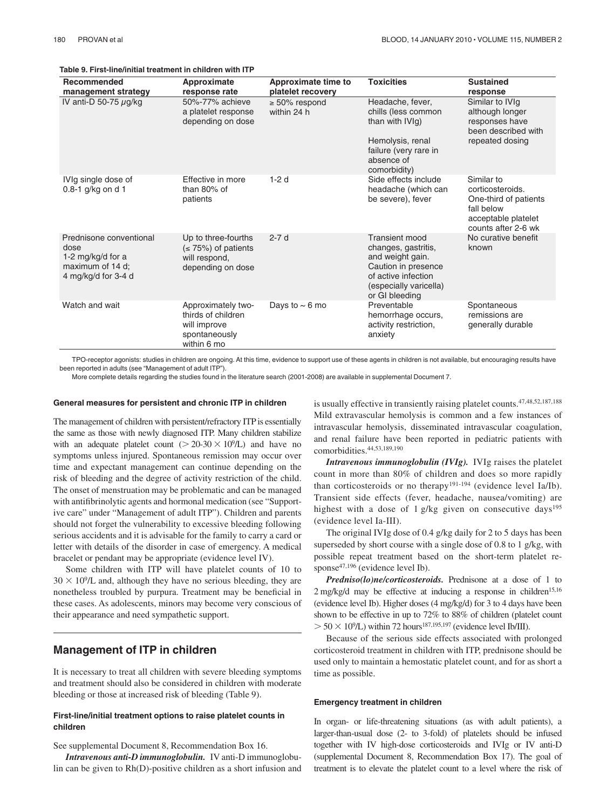#### **Table 9. First-line/initial treatment in children with ITP**

| <b>Recommended</b><br>management strategy                                                       | Approximate<br>response rate                                                             | Approximate time to<br>platelet recovery | <b>Toxicities</b>                                                                                                                                          | <b>Sustained</b><br>response                                                                                        |
|-------------------------------------------------------------------------------------------------|------------------------------------------------------------------------------------------|------------------------------------------|------------------------------------------------------------------------------------------------------------------------------------------------------------|---------------------------------------------------------------------------------------------------------------------|
| IV anti-D 50-75 $\mu$ g/kg                                                                      | 50%-77% achieve<br>a platelet response<br>depending on dose                              | $\geq 50\%$ respond<br>within 24 h       | Headache, fever,<br>chills (less common<br>than with IVIg)<br>Hemolysis, renal<br>failure (very rare in<br>absence of<br>comorbidity)                      | Similar to IVIq<br>although longer<br>responses have<br>been described with<br>repeated dosing                      |
| IVIg single dose of<br>$0.8 - 1$ g/kg on d 1                                                    | Effective in more<br>than $80\%$ of<br>patients                                          | $1-2d$                                   | Side effects include<br>headache (which can<br>be severe), fever                                                                                           | Similar to<br>corticosteroids.<br>One-third of patients<br>fall below<br>acceptable platelet<br>counts after 2-6 wk |
| Prednisone conventional<br>dose<br>1-2 mg/kg/d for a<br>maximum of 14 d;<br>4 mg/kg/d for 3-4 d | Up to three-fourths<br>$(\leq 75\%)$ of patients<br>will respond,<br>depending on dose   | $2-7d$                                   | <b>Transient mood</b><br>changes, gastritis,<br>and weight gain.<br>Caution in presence<br>of active infection<br>(especially varicella)<br>or GI bleeding | No curative benefit<br>known                                                                                        |
| Watch and wait                                                                                  | Approximately two-<br>thirds of children<br>will improve<br>spontaneously<br>within 6 mo | Days to $\sim$ 6 mo                      | Preventable<br>hemorrhage occurs,<br>activity restriction,<br>anxiety                                                                                      | Spontaneous<br>remissions are<br>generally durable                                                                  |

TPO-receptor agonists: studies in children are ongoing. At this time, evidence to support use of these agents in children is not available, but encouraging results have been reported in adults (see "Management of adult ITP").

More complete details regarding the studies found in the literature search (2001-2008) are available in supplemental Document 7.

#### **General measures for persistent and chronic ITP in children**

The management of children with persistent/refractory ITP is essentially the same as those with newly diagnosed ITP. Many children stabilize with an adequate platelet count ( $> 20-30 \times 10^{9}$ /L) and have no symptoms unless injured. Spontaneous remission may occur over time and expectant management can continue depending on the risk of bleeding and the degree of activity restriction of the child. The onset of menstruation may be problematic and can be managed with antifibrinolytic agents and hormonal medication (see "Supportive care" under "Management of adult ITP"). Children and parents should not forget the vulnerability to excessive bleeding following serious accidents and it is advisable for the family to carry a card or letter with details of the disorder in case of emergency. A medical bracelet or pendant may be appropriate (evidence level IV).

Some children with ITP will have platelet counts of 10 to  $30 \times 10^9$ /L and, although they have no serious bleeding, they are nonetheless troubled by purpura. Treatment may be beneficial in these cases. As adolescents, minors may become very conscious of their appearance and need sympathetic support.

# **Management of ITP in children**

It is necessary to treat all children with severe bleeding symptoms and treatment should also be considered in children with moderate bleeding or those at increased risk of bleeding (Table 9).

### **First-line/initial treatment options to raise platelet counts in children**

See supplemental Document 8, Recommendation Box 16.

*Intravenous anti-D immunoglobulin.* IV anti-D immunoglobulin can be given to Rh(D)-positive children as a short infusion and is usually effective in transiently raising platelet counts.47,48,52,187,188 Mild extravascular hemolysis is common and a few instances of intravascular hemolysis, disseminated intravascular coagulation, and renal failure have been reported in pediatric patients with comorbidities.44,53,189,190

*Intravenous immunoglobulin (IVIg).* IVIg raises the platelet count in more than 80% of children and does so more rapidly than corticosteroids or no therapy<sup>191-194</sup> (evidence level Ia/Ib). Transient side effects (fever, headache, nausea/vomiting) are highest with a dose of  $1$  g/kg given on consecutive days<sup>195</sup> (evidence level Ia-III).

The original IVIg dose of 0.4 g/kg daily for 2 to 5 days has been superseded by short course with a single dose of 0.8 to 1 g/kg, with possible repeat treatment based on the short-term platelet response<sup>47,196</sup> (evidence level Ib).

*Predniso(lo)ne/corticosteroids.* Prednisone at a dose of 1 to  $2 \text{ mg/kg/d}$  may be effective at inducing a response in children<sup>15,16</sup> (evidence level Ib). Higher doses (4 mg/kg/d) for 3 to 4 days have been shown to be effective in up to 72% to 88% of children (platelet count  $>$  50  $\times$  10<sup>9</sup>/L) within 72 hours<sup>187,195,197</sup> (evidence level Ib/III).

Because of the serious side effects associated with prolonged corticosteroid treatment in children with ITP, prednisone should be used only to maintain a hemostatic platelet count, and for as short a time as possible.

#### **Emergency treatment in children**

In organ- or life-threatening situations (as with adult patients), a larger-than-usual dose (2- to 3-fold) of platelets should be infused together with IV high-dose corticosteroids and IVIg or IV anti-D (supplemental Document 8, Recommendation Box 17). The goal of treatment is to elevate the platelet count to a level where the risk of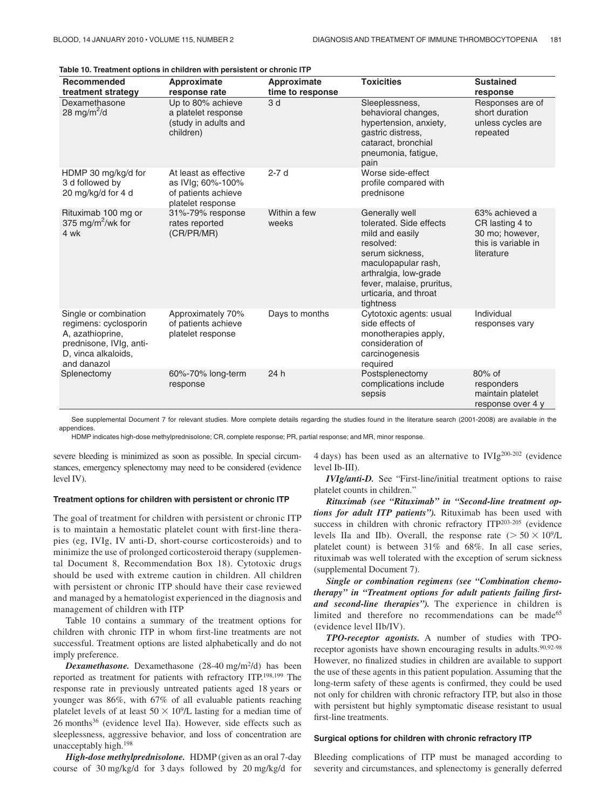| Recommended<br>treatment strategy                                                                                                   | Approximate<br>response rate                                                           | Approximate<br>time to response | <b>Toxicities</b>                                                                                                                                                                                               | <b>Sustained</b><br>response                                                              |
|-------------------------------------------------------------------------------------------------------------------------------------|----------------------------------------------------------------------------------------|---------------------------------|-----------------------------------------------------------------------------------------------------------------------------------------------------------------------------------------------------------------|-------------------------------------------------------------------------------------------|
| Dexamethasone<br>28 mg/m <sup>2</sup> /d                                                                                            | Up to 80% achieve<br>a platelet response<br>(study in adults and<br>children)          | 3 d                             | Sleeplessness,<br>behavioral changes,<br>hypertension, anxiety,<br>gastric distress.<br>cataract, bronchial<br>pneumonia, fatigue,<br>pain                                                                      | Responses are of<br>short duration<br>unless cycles are<br>repeated                       |
| HDMP 30 mg/kg/d for<br>3 d followed by<br>20 mg/kg/d for 4 d                                                                        | At least as effective<br>as IVIg; 60%-100%<br>of patients achieve<br>platelet response | $2-7d$                          | Worse side-effect<br>profile compared with<br>prednisone                                                                                                                                                        |                                                                                           |
| Rituximab 100 mg or<br>375 mg/m <sup>2</sup> /wk for<br>4 wk                                                                        | 31%-79% response<br>rates reported<br>(CR/PR/MR)                                       | Within a few<br>weeks           | Generally well<br>tolerated. Side effects<br>mild and easily<br>resolved:<br>serum sickness.<br>maculopapular rash,<br>arthralgia, low-grade<br>fever, malaise, pruritus,<br>urticaria, and throat<br>tightness | 63% achieved a<br>CR lasting 4 to<br>30 mo; however,<br>this is variable in<br>literature |
| Single or combination<br>regimens: cyclosporin<br>A, azathioprine,<br>prednisone, IVIg, anti-<br>D. vinca alkaloids.<br>and danazol | Approximately 70%<br>of patients achieve<br>platelet response                          | Days to months                  | Cytotoxic agents: usual<br>side effects of<br>monotherapies apply,<br>consideration of<br>carcinogenesis<br>required                                                                                            | Individual<br>responses vary                                                              |
| Splenectomy                                                                                                                         | 60%-70% long-term<br>response                                                          | 24 h                            | Postsplenectomy<br>complications include<br>sepsis                                                                                                                                                              | $80%$ of<br>responders<br>maintain platelet<br>response over 4 y                          |

#### **Table 10. Treatment options in children with persistent or chronic ITP**

See supplemental Document 7 for relevant studies. More complete details regarding the studies found in the literature search (2001-2008) are available in the appendices.

HDMP indicates high-dose methylprednisolone; CR, complete response; PR, partial response; and MR, minor response.

severe bleeding is minimized as soon as possible. In special circumstances, emergency splenectomy may need to be considered (evidence level IV).

#### **Treatment options for children with persistent or chronic ITP**

The goal of treatment for children with persistent or chronic ITP is to maintain a hemostatic platelet count with first-line therapies (eg, IVIg, IV anti-D, short-course corticosteroids) and to minimize the use of prolonged corticosteroid therapy (supplemental Document 8, Recommendation Box 18). Cytotoxic drugs should be used with extreme caution in children. All children with persistent or chronic ITP should have their case reviewed and managed by a hematologist experienced in the diagnosis and management of children with ITP

Table 10 contains a summary of the treatment options for children with chronic ITP in whom first-line treatments are not successful. Treatment options are listed alphabetically and do not imply preference.

*Dexamethasone.* Dexamethasone (28-40 mg/m<sup>2</sup>/d) has been reported as treatment for patients with refractory ITP.198,199 The response rate in previously untreated patients aged 18 years or younger was 86%, with 67% of all evaluable patients reaching platelet levels of at least  $50 \times 10^9$ /L lasting for a median time of 26 months<sup>36</sup> (evidence level IIa). However, side effects such as sleeplessness, aggressive behavior, and loss of concentration are unacceptably high.198

*High-dose methylprednisolone.* HDMP (given as an oral 7-day course of 30 mg/kg/d for 3 days followed by 20 mg/kg/d for 4 days) has been used as an alternative to IVIg200-202 (evidence level Ib-III).

*IVIg/anti-D.* See "First-line/initial treatment options to raise platelet counts in children."

*Rituximab (see "Rituximab" in "Second-line treatment options for adult ITP patients").* Rituximab has been used with success in children with chronic refractory ITP203-205 (evidence levels IIa and IIb). Overall, the response rate  $(> 50 \times 10^9/L)$ platelet count) is between 31% and 68%. In all case series, rituximab was well tolerated with the exception of serum sickness (supplemental Document 7).

*Single or combination regimens (see "Combination chemotherapy" in "Treatment options for adult patients failing firstand second-line therapies").* The experience in children is limited and therefore no recommendations can be made<sup>65</sup> (evidence level IIb/IV).

*TPO-receptor agonists.* A number of studies with TPOreceptor agonists have shown encouraging results in adults.<sup>90,92-98</sup> However, no finalized studies in children are available to support the use of these agents in this patient population. Assuming that the long-term safety of these agents is confirmed, they could be used not only for children with chronic refractory ITP, but also in those with persistent but highly symptomatic disease resistant to usual first-line treatments.

#### **Surgical options for children with chronic refractory ITP**

Bleeding complications of ITP must be managed according to severity and circumstances, and splenectomy is generally deferred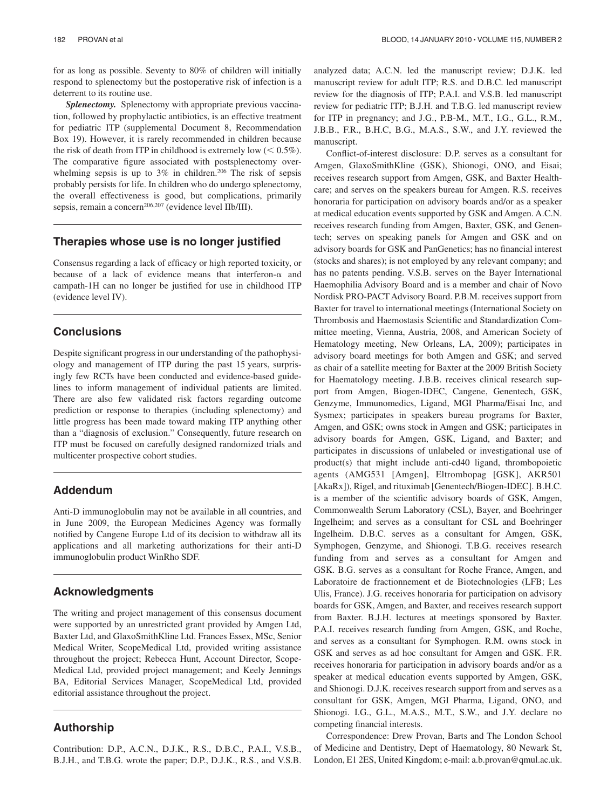for as long as possible. Seventy to 80% of children will initially respond to splenectomy but the postoperative risk of infection is a deterrent to its routine use.

*Splenectomy.* Splenectomy with appropriate previous vaccination, followed by prophylactic antibiotics, is an effective treatment for pediatric ITP (supplemental Document 8, Recommendation Box 19). However, it is rarely recommended in children because the risk of death from ITP in childhood is extremely low  $(< 0.5\%)$ . The comparative figure associated with postsplenectomy overwhelming sepsis is up to  $3\%$  in children.<sup>206</sup> The risk of sepsis probably persists for life. In children who do undergo splenectomy, the overall effectiveness is good, but complications, primarily sepsis, remain a concern<sup>206,207</sup> (evidence level IIb/III).

# **Therapies whose use is no longer justified**

Consensus regarding a lack of efficacy or high reported toxicity, or because of a lack of evidence means that interferon- $\alpha$  and campath-1H can no longer be justified for use in childhood ITP (evidence level IV).

# **Conclusions**

Despite significant progress in our understanding of the pathophysiology and management of ITP during the past 15 years, surprisingly few RCTs have been conducted and evidence-based guidelines to inform management of individual patients are limited. There are also few validated risk factors regarding outcome prediction or response to therapies (including splenectomy) and little progress has been made toward making ITP anything other than a "diagnosis of exclusion." Consequently, future research on ITP must be focused on carefully designed randomized trials and multicenter prospective cohort studies.

### **Addendum**

Anti-D immunoglobulin may not be available in all countries, and in June 2009, the European Medicines Agency was formally notified by Cangene Europe Ltd of its decision to withdraw all its applications and all marketing authorizations for their anti-D immunoglobulin product WinRho SDF.

# **Acknowledgments**

The writing and project management of this consensus document were supported by an unrestricted grant provided by Amgen Ltd, Baxter Ltd, and GlaxoSmithKline Ltd. Frances Essex, MSc, Senior Medical Writer, ScopeMedical Ltd, provided writing assistance throughout the project; Rebecca Hunt, Account Director, Scope-Medical Ltd, provided project management; and Keely Jennings BA, Editorial Services Manager, ScopeMedical Ltd, provided editorial assistance throughout the project.

# **Authorship**

Contribution: D.P., A.C.N., D.J.K., R.S., D.B.C., P.A.I., V.S.B., B.J.H., and T.B.G. wrote the paper; D.P., D.J.K., R.S., and V.S.B. analyzed data; A.C.N. led the manuscript review; D.J.K. led manuscript review for adult ITP; R.S. and D.B.C. led manuscript review for the diagnosis of ITP; P.A.I. and V.S.B. led manuscript review for pediatric ITP; B.J.H. and T.B.G. led manuscript review for ITP in pregnancy; and J.G., P.B-M., M.T., I.G., G.L., R.M., J.B.B., F.R., B.H.C, B.G., M.A.S., S.W., and J.Y. reviewed the manuscript.

Conflict-of-interest disclosure: D.P. serves as a consultant for Amgen, GlaxoSmithKline (GSK), Shionogi, ONO, and Eisai; receives research support from Amgen, GSK, and Baxter Healthcare; and serves on the speakers bureau for Amgen. R.S. receives honoraria for participation on advisory boards and/or as a speaker at medical education events supported by GSK and Amgen. A.C.N. receives research funding from Amgen, Baxter, GSK, and Genentech; serves on speaking panels for Amgen and GSK and on advisory boards for GSK and PanGenetics; has no financial interest (stocks and shares); is not employed by any relevant company; and has no patents pending. V.S.B. serves on the Bayer International Haemophilia Advisory Board and is a member and chair of Novo Nordisk PRO-PACT Advisory Board. P.B.M. receives support from Baxter for travel to international meetings (International Society on Thrombosis and Haemostasis Scientific and Standardization Committee meeting, Vienna, Austria, 2008, and American Society of Hematology meeting, New Orleans, LA, 2009); participates in advisory board meetings for both Amgen and GSK; and served as chair of a satellite meeting for Baxter at the 2009 British Society for Haematology meeting. J.B.B. receives clinical research support from Amgen, Biogen-IDEC, Cangene, Genentech, GSK, Genzyme, Immunomedics, Ligand, MGI Pharma/Eisai Inc, and Sysmex; participates in speakers bureau programs for Baxter, Amgen, and GSK; owns stock in Amgen and GSK; participates in advisory boards for Amgen, GSK, Ligand, and Baxter; and participates in discussions of unlabeled or investigational use of product(s) that might include anti-cd40 ligand, thrombopoietic agents (AMG531 [Amgen], Eltrombopag [GSK], AKR501 [AkaRx]), Rigel, and rituximab [Genentech/Biogen-IDEC]. B.H.C. is a member of the scientific advisory boards of GSK, Amgen, Commonwealth Serum Laboratory (CSL), Bayer, and Boehringer Ingelheim; and serves as a consultant for CSL and Boehringer Ingelheim. D.B.C. serves as a consultant for Amgen, GSK, Symphogen, Genzyme, and Shionogi. T.B.G. receives research funding from and serves as a consultant for Amgen and GSK. B.G. serves as a consultant for Roche France, Amgen, and Laboratoire de fractionnement et de Biotechnologies (LFB; Les Ulis, France). J.G. receives honoraria for participation on advisory boards for GSK, Amgen, and Baxter, and receives research support from Baxter. B.J.H. lectures at meetings sponsored by Baxter. P.A.I. receives research funding from Amgen, GSK, and Roche, and serves as a consultant for Symphogen. R.M. owns stock in GSK and serves as ad hoc consultant for Amgen and GSK. F.R. receives honoraria for participation in advisory boards and/or as a speaker at medical education events supported by Amgen, GSK, and Shionogi. D.J.K. receives research support from and serves as a consultant for GSK, Amgen, MGI Pharma, Ligand, ONO, and Shionogi. I.G., G.L., M.A.S., M.T., S.W., and J.Y. declare no competing financial interests.

Correspondence: Drew Provan, Barts and The London School of Medicine and Dentistry, Dept of Haematology, 80 Newark St, London, E1 2ES, United Kingdom; e-mail: a.b.provan@qmul.ac.uk.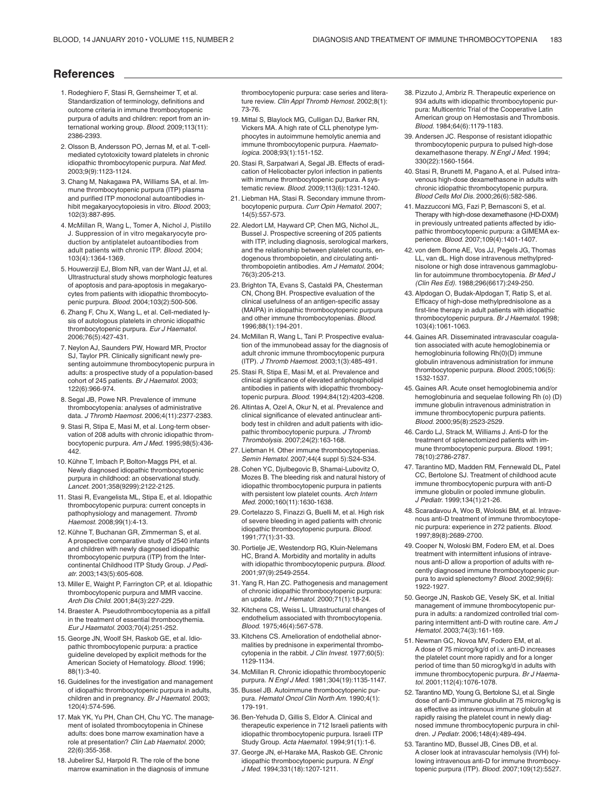### **References**

- 1. Rodeghiero F, Stasi R, Gernsheimer T, et al. Standardization of terminology, definitions and outcome criteria in immune thrombocytopenic purpura of adults and children: report from an international working group. *Blood.* 2009;113(11): 2386-2393.
- 2. Olsson B, Andersson PO, Jernas M, et al. T-cellmediated cytotoxicity toward platelets in chronic idiopathic thrombocytopenic purpura. *Nat Med.* 2003;9(9):1123-1124.
- 3. Chang M, Nakagawa PA, Williams SA, et al. Immune thrombocytopenic purpura (ITP) plasma and purified ITP monoclonal autoantibodies inhibit megakaryocytopoiesis in vitro. *Blood.* 2003; 102(3):887-895.
- 4. McMillan R, Wang L, Tomer A, Nichol J, Pistillo J. Suppression of in vitro megakaryocyte production by antiplatelet autoantibodies from adult patients with chronic ITP. *Blood.* 2004; 103(4):1364-1369.
- 5. Houwerzijl EJ, Blom NR, van der Want JJ, et al. Ultrastructural study shows morphologic features of apoptosis and para-apoptosis in megakaryocytes from patients with idiopathic thrombocytopenic purpura. *Blood.* 2004;103(2):500-506.
- 6. Zhang F, Chu X, Wang L, et al. Cell-mediated lysis of autologous platelets in chronic idiopathic thrombocytopenic purpura. *Eur J Haematol.* 2006;76(5):427-431.
- 7. Neylon AJ, Saunders PW, Howard MR, Proctor SJ, Taylor PR. Clinically significant newly presenting autoimmune thrombocytopenic purpura in adults: a prospective study of a population-based cohort of 245 patients. *Br J Haematol.* 2003; 122(6):966-974.
- 8. Segal JB, Powe NR. Prevalence of immune thrombocytopenia: analyses of administrative data. *J Thromb Haemost.* 2006;4(11):2377-2383.
- 9. Stasi R, Stipa E, Masi M, et al. Long-term observation of 208 adults with chronic idiopathic thrombocytopenic purpura. *Am J Med.* 1995;98(5):436- 442.
- 10. Kühne T, Imbach P, Bolton-Maggs PH, et al. Newly diagnosed idiopathic thrombocytopenic purpura in childhood: an observational study. *Lancet.* 2001;358(9299):2122-2125.
- 11. Stasi R, Evangelista ML, Stipa E, et al. Idiopathic thrombocytopenic purpura: current concepts in pathophysiology and management. *Thromb Haemost.* 2008;99(1):4-13.
- 12. Kühne T, Buchanan GR, Zimmerman S, et al. A prospective comparative study of 2540 infants and children with newly diagnosed idiopathic thrombocytopenic purpura (ITP) from the Intercontinental Childhood ITP Study Group. *J Pediatr.* 2003;143(5):605-608.
- 13. Miller E, Waight P, Farrington CP, et al. Idiopathic thrombocytopenic purpura and MMR vaccine. *Arch Dis Child.* 2001;84(3):227-229.
- 14. Braester A. Pseudothrombocytopenia as a pitfall in the treatment of essential thrombocythemia. *Eur J Haematol.* 2003;70(4):251-252.
- 15. George JN, Woolf SH, Raskob GE, et al. Idiopathic thrombocytopenic purpura: a practice guideline developed by explicit methods for the American Society of Hematology. *Blood.* 1996; 88(1):3-40.
- 16. Guidelines for the investigation and management of idiopathic thrombocytopenic purpura in adults, children and in pregnancy. *Br J Haematol.* 2003; 120(4):574-596.
- 17. Mak YK, Yu PH, Chan CH, Chu YC. The management of isolated thrombocytopenia in Chinese adults: does bone marrow examination have a role at presentation? *Clin Lab Haematol.* 2000; 22(6):355-358.
- 18. Jubelirer SJ, Harpold R. The role of the bone marrow examination in the diagnosis of immune

thrombocytopenic purpura: case series and literature review. *Clin Appl Thromb Hemost.* 2002;8(1): 73-76.

- 19. Mittal S, Blaylock MG, Culligan DJ, Barker RN, Vickers MA. A high rate of CLL phenotype lymphocytes in autoimmune hemolytic anemia and immune thrombocytopenic purpura. *Haematologica.* 2008;93(1):151-152.
- 20. Stasi R, Sarpatwari A, Segal JB. Effects of eradication of Helicobacter pylori infection in patients with immune thrombocytopenic purpura. A systematic review. *Blood.* 2009;113(6):1231-1240.
- 21. Liebman HA, Stasi R. Secondary immune thrombocytopenic purpura. *Curr Opin Hematol.* 2007; 14(5):557-573.
- 22. Aledort LM, Hayward CP, Chen MG, Nichol JL, Bussel J. Prospective screening of 205 patients with ITP, including diagnosis, serological markers, and the relationship between platelet counts, endogenous thrombopoietin, and circulating antithrombopoietin antibodies. *Am J Hematol.* 2004; 76(3):205-213.
- 23. Brighton TA, Evans S, Castaldi PA, Chesterman CN, Chong BH. Prospective evaluation of the clinical usefulness of an antigen-specific assay (MAIPA) in idiopathic thrombocytopenic purpura and other immune thrombocytopenias. *Blood.* 1996;88(1):194-201.
- 24. McMillan R, Wang L, Tani P. Prospective evaluation of the immunobead assay for the diagnosis of adult chronic immune thrombocytopenic purpura (ITP). *J Thromb Haemost.* 2003;1(3):485-491.
- 25. Stasi R, Stipa E, Masi M, et al. Prevalence and clinical significance of elevated antiphospholipid antibodies in patients with idiopathic thrombocytopenic purpura. *Blood.* 1994;84(12):4203-4208.
- 26. Altintas A, Ozel A, Okur N, et al. Prevalence and clinical significance of elevated antinuclear antibody test in children and adult patients with idiopathic thrombocytopenic purpura. *J Thromb Thrombolysis.* 2007;24(2):163-168.
- 27. Liebman H. Other immune thrombocytopenias. *Semin Hematol*. 2007;44(4 suppl 5):S24-S34.
- 28. Cohen YC, Djulbegovic B, Shamai-Lubovitz O, Mozes B. The bleeding risk and natural history of idiopathic thrombocytopenic purpura in patients with persistent low platelet counts. *Arch Intern Med.* 2000;160(11):1630-1638.
- 29. Cortelazzo S, Finazzi G, Buelli M, et al. High risk of severe bleeding in aged patients with chronic idiopathic thrombocytopenic purpura. *Blood.* 1991;77(1):31-33.
- 30. Portielje JE, Westendorp RG, Kluin-Nelemans HC, Brand A. Morbidity and mortality in adults with idiopathic thrombocytopenic purpura. *Blood.* 2001;97(9):2549-2554.
- 31. Yang R, Han ZC. Pathogenesis and management of chronic idiopathic thrombocytopenic purpura: an update. *Int J Hematol.* 2000;71(1):18-24.
- 32. Kitchens CS, Weiss L. Ultrastructural changes of endothelium associated with thrombocytopenia. *Blood.* 1975;46(4):567-578.
- 33. Kitchens CS. Amelioration of endothelial abnormalities by prednisone in experimental thrombocytopenia in the rabbit. *J Clin Invest.* 1977;60(5): 1129-1134.
- 34. McMillan R. Chronic idiopathic thrombocytopenic purpura. *N Engl J Med.* 1981;304(19):1135-1147.
- 35. Bussel JB. Autoimmune thrombocytopenic purpura. *Hematol Oncol Clin North Am.* 1990;4(1): 179-191.
- 36. Ben-Yehuda D, Gillis S, Eldor A. Clinical and therapeutic experience in 712 Israeli patients with idiopathic thrombocytopenic purpura. Israeli ITP Study Group. *Acta Haematol.* 1994;91(1):1-6.
- 37. George JN, el-Harake MA, Raskob GE. Chronic idiopathic thrombocytopenic purpura. *N Engl J Med.* 1994;331(18):1207-1211.
- 38. Pizzuto J, Ambriz R. Therapeutic experience on 934 adults with idiopathic thrombocytopenic purpura: Multicentric Trial of the Cooperative Latin American group on Hemostasis and Thrombosis. *Blood.* 1984;64(6):1179-1183.
- 39. Andersen JC. Response of resistant idiopathic thrombocytopenic purpura to pulsed high-dose dexamethasone therapy. *N Engl J Med.* 1994; 330(22):1560-1564.
- 40. Stasi R, Brunetti M, Pagano A, et al. Pulsed intravenous high-dose dexamethasone in adults with chronic idiopathic thrombocytopenic purpura. *Blood Cells Mol Dis.* 2000;26(6):582-586.
- 41. Mazzucconi MG, Fazi P, Bernasconi S, et al. Therapy with high-dose dexamethasone (HD-DXM) in previously untreated patients affected by idiopathic thrombocytopenic purpura: a GIMEMA experience. *Blood.* 2007;109(4):1401-1407.
- 42. von dem Borne AE, Vos JJ, Pegels JG, Thomas LL, van dL. High dose intravenous methylprednisolone or high dose intravenous gammaglobulin for autoimmune thrombocytopenia. *Br Med J (Clin Res Ed).* 1988;296(6617):249-250.
- 43. Alpdogan O, Budak-Alpdogan T, Ratip S, et al. Efficacy of high-dose methylprednisolone as a first-line therapy in adult patients with idiopathic thrombocytopenic purpura. *Br J Haematol.* 1998; 103(4):1061-1063.
- 44. Gaines AR. Disseminated intravascular coagulation associated with acute hemoglobinemia or hemoglobinuria following Rh(0)(D) immune globulin intravenous administration for immune thrombocytopenic purpura. *Blood.* 2005;106(5): 1532-1537.
- 45. Gaines AR. Acute onset hemoglobinemia and/or hemoglobinuria and sequelae following Rh (o) (D) immune globulin intravenous administration in immune thrombocytopenic purpura patients. *Blood.* 2000;95(8):2523-2529.
- 46. Cardo LJ, Strack M, Williams J. Anti-D for the treatment of splenectomized patients with immune thrombocytopenic purpura. *Blood.* 1991; 78(10):2786-2787.
- 47. Tarantino MD, Madden RM, Fennewald DL, Patel CC, Bertolone SJ. Treatment of childhood acute immune thrombocytopenic purpura with anti-D immune globulin or pooled immune globulin. *J Pediatr.* 1999;134(1):21-26.
- 48. Scaradavou A, Woo B, Woloski BM, et al. Intravenous anti-D treatment of immune thrombocytopenic purpura: experience in 272 patients. *Blood.* 1997;89(8):2689-2700.
- 49. Cooper N, Woloski BM, Fodero EM, et al. Does treatment with intermittent infusions of intravenous anti-D allow a proportion of adults with recently diagnosed immune thrombocytopenic purpura to avoid splenectomy? *Blood.* 2002;99(6): 1922-1927.
- 50. George JN, Raskob GE, Vesely SK, et al. Initial management of immune thrombocytopenic purpura in adults: a randomized controlled trial comparing intermittent anti-D with routine care. *Am J Hematol.* 2003;74(3):161-169.
- 51. Newman GC, Novoa MV, Fodero EM, et al. A dose of 75 microg/kg/d of i.v. anti-D increases the platelet count more rapidly and for a longer period of time than 50 microg/kg/d in adults with immune thrombocytopenic purpura. *Br J Haematol.* 2001;112(4):1076-1078.
- 52. Tarantino MD, Young G, Bertolone SJ, et al. Single dose of anti-D immune globulin at 75 microg/kg is as effective as intravenous immune globulin at rapidly raising the platelet count in newly diagnosed immune thrombocytopenic purpura in children. *J Pediatr.* 2006;148(4):489-494.
- 53. Tarantino MD, Bussel JB, Cines DB, et al. A closer look at intravascular hemolysis (IVH) following intravenous anti-D for immune thrombocytopenic purpura (ITP). *Blood.* 2007;109(12):5527.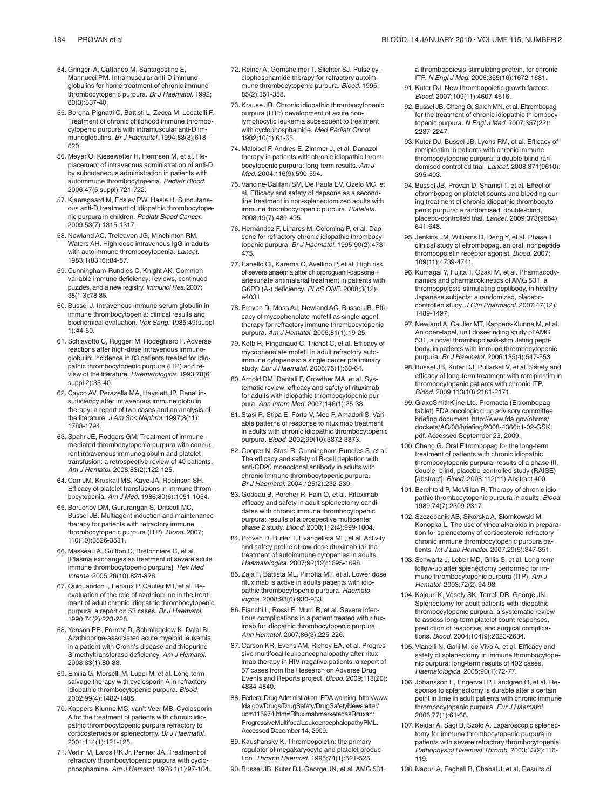- 54. Gringeri A, Cattaneo M, Santagostino E, Mannucci PM. Intramuscular anti-D immunoglobulins for home treatment of chronic immune thrombocytopenic purpura. *Br J Haematol.* 1992; 80(3):337-40.
- 55. Borgna-Pignatti C, Battisti L, Zecca M, Locatelli F. Treatment of chronic childhood immune thrombocytopenic purpura with intramuscular anti-D immunoglobulins. *Br J Haematol.* 1994;88(3):618- 620.
- 56. Meyer O, Kiesewetter H, Hermsen M, et al. Replacement of intravenous administration of anti-D by subcutaneous administration in patients with autoimmune thrombocytopenia. *Pediatr Blood.* 2006;47(5 suppl):721-722.
- 57. Kjaersgaard M, Edslev PW, Hasle H. Subcutaneous anti-D treatment of idiopathic thrombocytopenic purpura in children. *Pediatr Blood Cancer.* 2009;53(7):1315-1317.
- 58. Newland AC, Treleaven JG, Minchinton RM, Waters AH. High-dose intravenous IgG in adults with autoimmune thrombocytopenia. *Lancet.* 1983;1(8316):84-87.
- 59. Cunningham-Rundles C, Knight AK. Common variable immune deficiency: reviews, continued puzzles, and a new registry. *Immunol Res.* 2007; 38(1-3):78-86.
- 60. Bussel J. Intravenous immune serum globulin in immune thrombocytopenia: clinical results and biochemical evaluation. *Vox Sang.* 1985;49(suppl 1):44-50.
- 61. Schiavotto C, Ruggeri M, Rodeghiero F. Adverse reactions after high-dose intravenous immunoglobulin: incidence in 83 patients treated for idiopathic thrombocytopenic purpura (ITP) and review of the literature. *Haematologica.* 1993;78(6 suppl 2):35-40
- 62. Cayco AV, Perazella MA, Hayslett JP. Renal insufficiency after intravenous immune globulin therapy: a report of two cases and an analysis of the literature. *J Am Soc Nephrol.* 1997;8(11): 1788-1794.
- 63. Spahr JE, Rodgers GM. Treatment of immunemediated thrombocytopenia purpura with concurrent intravenous immunoglobulin and platelet transfusion: a retrospective review of 40 patients. *Am J Hematol.* 2008;83(2):122-125.
- 64. Carr JM, Kruskall MS, Kaye JA, Robinson SH. Efficacy of platelet transfusions in immune thrombocytopenia. *Am J Med.* 1986;80(6):1051-1054.
- 65. Boruchov DM, Gururangan S, Driscoll MC, Bussel JB. Multiagent induction and maintenance therapy for patients with refractory immune thrombocytopenic purpura (ITP). *Blood.* 2007; 110(10):3526-3531.
- 66. Masseau A, Guitton C, Bretonniere C, et al. [Plasma exchanges as treatment of severe acute immune thrombocytopenic purpura]. *Rev Med Interne.* 2005;26(10):824-826.
- 67. Quiquandon I, Fenaux P, Caulier MT, et al. Reevaluation of the role of azathioprine in the treatment of adult chronic idiopathic thrombocytopenic purpura: a report on 53 cases. *Br J Haematol.* 1990;74(2):223-228.
- 68. Yenson PR, Forrest D, Schmiegelow K, Dalal BI. Azathioprine-associated acute myeloid leukemia in a patient with Crohn's disease and thiopurine S-methyltransferase deficiency. *Am J Hematol.* 2008;83(1):80-83.
- 69. Emilia G, Morselli M, Luppi M, et al. Long-term salvage therapy with cyclosporin A in refractory idiopathic thrombocytopenic purpura. *Blood.* 2002;99(4):1482-1485.
- 70. Kappers-Klunne MC, van't Veer MB. Cyclosporin A for the treatment of patients with chronic idiopathic thrombocytopenic purpura refractory to corticosteroids or splenectomy. *Br J Haematol.* 2001;114(1):121-125.
- 71. Verlin M, Laros RK Jr, Penner JA. Treatment of refractory thrombocytopenic purpura with cyclophosphamine. *Am J Hematol.* 1976;1(1):97-104.
- 72. Reiner A, Gernsheimer T, Slichter SJ. Pulse cyclophosphamide therapy for refractory autoimmune thrombocytopenic purpura. *Blood.* 1995; 85(2):351-358.
- 73. Krause JR. Chronic idiopathic thrombocytopenic purpura (ITP:) development of acute nonlymphocytic leukemia subsequent to treatment with cyclophosphamide. *Med Pediatr Oncol.* 1982;10(1):61-65.
- 74. Maloisel F, Andres E, Zimmer J, et al. Danazol therapy in patients with chronic idiopathic thrombocytopenic purpura: long-term results. *Am J Med*. 2004;116(9):590-594.
- 75. Vancine-Califani SM, De Paula EV, Ozelo MC, et al. Efficacy and safety of dapsone as a secondline treatment in non-splenectomized adults with immune thrombocytopenic purpura. *Platelets.* 2008;19(7):489-495.
- 76. Hernández F, Linares M, Colomina P, et al. Dapsone for refractory chronic idiopathic thrombocytopenic purpura. *Br J Haematol.* 1995;90(2):473- 475.
- 77. Fanello CI, Karema C, Avellino P, et al. High risk of severe anaemia after chlorproguanil-dapsone artesunate antimalarial treatment in patients with G6PD (A-) deficiency. *PLoS ONE*. 2008;3(12): e4031.
- 78. Provan D, Moss AJ, Newland AC, Bussel JB. Efficacy of mycophenolate mofetil as single-agent therapy for refractory immune thrombocytopenic purpura. *Am J Hematol.* 2006;81(1):19-25.
- 79. Kotb R, Pinganaud C, Trichet C, et al. Efficacy of mycophenolate mofetil in adult refractory autoimmune cytopenias: a single center preliminary study. *Eur J Haematol.* 2005;75(1):60-64.
- 80. Arnold DM, Dentali F, Crowther MA, et al. Systematic review: efficacy and safety of rituximab for adults with idiopathic thrombocytopenic purpura. *Ann Intern Med.* 2007;146(1):25-33.
- 81. Stasi R, Stipa E, Forte V, Meo P, Amadori S. Variable patterns of response to rituximab treatment in adults with chronic idiopathic thrombocytopenic purpura. *Blood.* 2002;99(10):3872-3873.
- 82. Cooper N, Stasi R, Cunningham-Rundles S, et al. The efficacy and safety of B-cell depletion with anti-CD20 monoclonal antibody in adults with chronic immune thrombocytopenic purpura. *Br J Haematol.* 2004;125(2):232-239.
- 83. Godeau B, Porcher R, Fain O, et al. Rituximab efficacy and safety in adult splenectomy candidates with chronic immune thrombocytopenic purpura: results of a prospective multicenter phase 2 study. *Blood.* 2008;112(4):999-1004.
- 84. Provan D, Butler T, Evangelista ML, et al. Activity and safety profile of low-dose rituximab for the treatment of autoimmune cytopenias in adults. *Haematologica.* 2007;92(12):1695-1698.
- 85. Zaja F, Battista ML, Pirrotta MT, et al. Lower dose rituximab is active in adults patients with idiopathic thrombocytopenic purpura. *Haematologica.* 2008;93(6):930-933.
- 86. Fianchi L, Rossi E, Murri R, et al. Severe infectious complications in a patient treated with rituximab for idiopathic thrombocytopenic purpura. *Ann Hematol.* 2007;86(3):225-226.
- 87. Carson KR, Evens AM, Richey EA, et al. Progressive multifocal leukoencephalopathy after rituximab therapy in HIV-negative patients: a report of 57 cases from the Research on Adverse Drug Events and Reports project. *Blood.* 2009;113(20): 4834-4840.
- 88. Federal DrugAdministration. FDAwarning. http://www. fda.gov/Drugs/DrugSafety/DrugSafetyNewsletter/ ucm115974.htm#RituximabmarketedasRituxan: ProgressiveMultifocalLeukoencephalopathyPML. Accessed December 14, 2009.
- 89. Kaushansky K. Thrombopoietin: the primary regulator of megakaryocyte and platelet production. *Thromb Haemost.* 1995;74(1):521-525.
- 90. Bussel JB, Kuter DJ, George JN, et al. AMG 531,
- 91. Kuter DJ. New thrombopoietic growth factors. *Blood.* 2007;109(11):4607-4616.
- 92. Bussel JB, Cheng G, Saleh MN, et al. Eltrombopag for the treatment of chronic idiopathic thrombocytopenic purpura. *N Engl J Med.* 2007;357(22): 2237-2247.
- 93. Kuter DJ, Bussel JB, Lyons RM, et al. Efficacy of romiplostim in patients with chronic immune thrombocytopenic purpura: a double-blind randomised controlled trial. *Lancet.* 2008;371(9610): 395-403.
- 94. Bussel JB, Provan D, Shamsi T, et al. Effect of eltrombopag on platelet counts and bleeding during treatment of chronic idiopathic thrombocytopenic purpura: a randomised, double-blind, placebo-controlled trial. *Lancet.* 2009;373(9664): 641-648.
- 95. Jenkins JM, Williams D, Deng Y, et al. Phase 1 clinical study of eltrombopag, an oral, nonpeptide thrombopoietin receptor agonist. *Blood.* 2007; 109(11):4739-4741.
- 96. Kumagai Y, Fujita T, Ozaki M, et al. Pharmacodynamics and pharmacokinetics of AMG 531, a thrombopoiesis-stimulating peptibody, in healthy Japanese subjects: a randomized, placebocontrolled study. *J Clin Pharmacol.* 2007;47(12): 1489-1497.
- 97. Newland A, Caulier MT, Kappers-Klunne M, et al. An open-label, unit dose-finding study of AMG 531, a novel thrombopoiesis-stimulating peptibody, in patients with immune thrombocytopenic purpura. *Br J Haematol.* 2006;135(4):547-553.
- 98. Bussel JB, Kuter DJ, Pullarkat V, et al. Safety and efficacy of long-term treatment with romiplostim in thrombocytopenic patients with chronic ITP. *Blood.* 2009;113(10):2161-2171.
- 99. GlaxoSmithKline Ltd. Promacta (Eltrombopag tablet) FDA oncologic drug advisory committee briefing document. http://www.fda.gov/ohrms/ dockets/AC/08/briefing/2008-4366b1-02-GSK. pdf. Accessed September 23, 2009.
- 100. Cheng G. Oral Eltrombopag for the long-term treatment of patients with chronic idiopathic thrombocytopenic purpura: results of a phase III, double- blind, placebo-controlled study (RAISE) [abstract]. *Blood.* 2008;112(11):Abstract 400.
- 101. Berchtold P, McMillan R. Therapy of chronic idiopathic thrombocytopenic purpura in adults. *Blood.* 1989;74(7):2309-2317.
- 102. Szczepanik AB, Sikorska A, Slomkowski M, Konopka L. The use of vinca alkaloids in preparation for splenectomy of corticosteroid refractory chronic immune thrombocytopenic purpura patients. *Int J Lab Hematol.* 2007;29(5):347-351.
- 103. Schwartz J, Leber MD, Gillis S, et al. Long term follow-up after splenectomy performed for immune thrombocytopenic purpura (ITP). *Am J Hematol.* 2003;72(2):94-98.
- 104. Kojouri K, Vesely SK, Terrell DR, George JN. Splenectomy for adult patients with idiopathic thrombocytopenic purpura: a systematic review to assess long-term platelet count responses, prediction of response, and surgical complications. *Blood.* 2004;104(9):2623-2634.
- 105. Vianelli N, Galli M, de Vivo A, et al. Efficacy and safety of splenectomy in immune thrombocytopenic purpura: long-term results of 402 cases. *Haematologica.* 2005;90(1):72-77.
- 106. Johansson E, Engervall P, Landgren O, et al. Response to splenectomy is durable after a certain point in time in adult patients with chronic immune thrombocytopenic purpura. *Eur J Haematol.* 2006;77(1):61-66.
- 107. Keidar A, Sagi B, Szold A. Laparoscopic splenectomy for immune thrombocytopenic purpura in patients with severe refractory thrombocytopenia. *Pathophysiol Haemost Thromb.* 2003;33(2):116- 119.
- 108. Naouri A, Feghali B, Chabal J, et al. Results of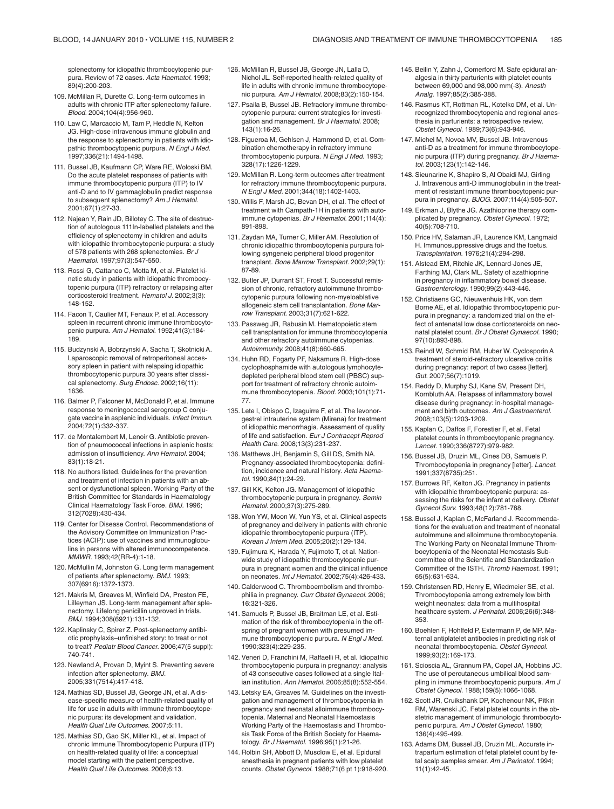splenectomy for idiopathic thrombocytopenic purpura. Review of 72 cases. *Acta Haematol.* 1993; 89(4):200-203.

- 109. McMillan R, Durette C. Long-term outcomes in adults with chronic ITP after splenectomy failure. *Blood.* 2004;104(4):956-960.
- 110. Law C, Marcaccio M, Tam P, Heddle N, Kelton JG. High-dose intravenous immune globulin and the response to splenectomy in patients with idiopathic thrombocytopenic purpura. *N Engl J Med.* 1997;336(21):1494-1498.
- 111. Bussel JB, Kaufmann CP, Ware RE, Woloski BM. Do the acute platelet responses of patients with immune thrombocytopenic purpura (ITP) to IV anti-D and to IV gammaglobulin predict response to subsequent splenectomy? *Am J Hematol.* 2001;67(1):27-33.
- 112. Najean Y, Rain JD, Billotey C. The site of destruction of autologous 111In-labelled platelets and the efficiency of splenectomy in children and adults with idiopathic thrombocytopenic purpura: a study of 578 patients with 268 splenectomies. *Br J Haematol.* 1997;97(3):547-550.
- 113. Rossi G, Cattaneo C, Motta M, et al. Platelet kinetic study in patients with idiopathic thrombocytopenic purpura (ITP) refractory or relapsing after corticosteroid treatment. *Hematol J.* 2002;3(3): 148-152.
- 114. Facon T, Caulier MT, Fenaux P, et al. Accessory spleen in recurrent chronic immune thrombocytopenic purpura. *Am J Hematol.* 1992;41(3):184- 189.
- 115. Budzynski A, Bobrzynski A, Sacha T, Skotnicki A. Laparoscopic removal of retroperitoneal accessory spleen in patient with relapsing idiopathic thrombocytopenic purpura 30 years after classical splenectomy. *Surg Endosc.* 2002;16(11): 1636.
- 116. Balmer P, Falconer M, McDonald P, et al. Immune response to meningococcal serogroup C conjugate vaccine in asplenic individuals. *Infect Immun.* 2004;72(1):332-337.
- 117. de Montalembert M, Lenoir G. Antibiotic prevention of pneumococcal infections in asplenic hosts: admission of insufficiency. *Ann Hematol.* 2004; 83(1):18-21.
- 118. No authors listed. Guidelines for the prevention and treatment of infection in patients with an absent or dysfunctional spleen. Working Party of the British Committee for Standards in Haematology Clinical Haematology Task Force. *BMJ.* 1996; 312(7028):430-434.
- 119. Center for Disease Control. Recommendations of the Advisory Committee on Immunization Practices (ACIP): use of vaccines and immunoglobulins in persons with altered immunocompetence. *MMWR.* 1993;42(RR-4):1-18.
- 120. McMullin M, Johnston G. Long term management of patients after splenectomy. *BMJ.* 1993; 307(6916):1372-1373.
- 121. Makris M, Greaves M, Winfield DA, Preston FE, Lilleyman JS. Long-term management after splenectomy. Lifelong penicillin unproved in trials. *BMJ.* 1994;308(6921):131-132.
- 122. Kaplinsky C, Spirer Z. Post-splenectomy antibiotic prophylaxis–unfinished story: to treat or not to treat? *Pediatr Blood Cancer.* 2006;47(5 suppl): 740-741.
- 123. Newland A, Provan D, Myint S. Preventing severe infection after splenectomy. *BMJ.* 2005;331(7514):417-418.
- 124. Mathias SD, Bussel JB, George JN, et al. A disease-specific measure of health-related quality of life for use in adults with immune thrombocytopenic purpura: its development and validation. *Health Qual Life Outcomes.* 2007;5:11.
- 125. Mathias SD, Gao SK, Miller KL, et al. Impact of chronic Immune Thrombocytopenic Purpura (ITP) on health-related quality of life: a conceptual model starting with the patient perspective. *Health Qual Life Outcomes.* 2008;6:13.
- 126. McMillan R, Bussel JB, George JN, Lalla D, Nichol JL. Self-reported health-related quality of life in adults with chronic immune thrombocytopenic purpura. *Am J Hematol.* 2008;83(2):150-154.
- 127. Psaila B, Bussel JB. Refractory immune thrombocytopenic purpura: current strategies for investigation and management. *Br J Haematol.* 2008; 143(1):16-26.
- 128. Figueroa M, Gehlsen J, Hammond D, et al. Combination chemotherapy in refractory immune thrombocytopenic purpura. *N Engl J Med.* 1993; 328(17):1226-1229.
- 129. McMillan R. Long-term outcomes after treatment for refractory immune thrombocytopenic purpura. *N Engl J Med.* 2001;344(18):1402-1403.
- 130. Willis F, Marsh JC, Bevan DH, et al. The effect of treatment with Campath-1H in patients with autoimmune cytopenias. *Br J Haematol.* 2001;114(4): 891-898.
- 131. Zaydan MA, Turner C, Miller AM. Resolution of chronic idiopathic thrombocytopenia purpura following syngeneic peripheral blood progenitor transplant. *Bone Marrow Transplant.* 2002;29(1): 87-89.
- 132. Butler JP, Durrant ST, Frost T. Successful remission of chronic, refractory autoimmune thrombocytopenic purpura following non-myeloablative allogeneic stem cell transplantation. *Bone Marrow Transplant.* 2003;31(7):621-622.
- 133. Passweg JR, Rabusin M. Hematopoietic stem cell transplantation for immune thrombocytopenia and other refractory autoimmune cytopenias. *Autoimmunity.* 2008;41(8):660-665.
- 134. Huhn RD, Fogarty PF, Nakamura R. High-dose cyclophosphamide with autologous lymphocytedepleted peripheral blood stem cell (PBSC) support for treatment of refractory chronic autoimmune thrombocytopenia. *Blood.* 2003;101(1):71- 77.
- 135. Lete I, Obispo C, Izaguirre F, et al. The levonorgestrel intrauterine system (Mirena) for treatment of idiopathic menorrhagia. Assessment of quality of life and satisfaction. *Eur J Contracept Reprod Health Care.* 2008;13(3):231-237.
- 136. Matthews JH, Benjamin S, Gill DS, Smith NA. Pregnancy-associated thrombocytopenia: definition, incidence and natural history. *Acta Haematol.* 1990;84(1):24-29.
- 137. Gill KK, Kelton JG. Management of idiopathic thrombocytopenic purpura in pregnancy. *Semin Hematol.* 2000;37(3):275-289.
- 138. Won YW, Moon W, Yun YS, et al. Clinical aspects of pregnancy and delivery in patients with chronic idiopathic thrombocytopenic purpura (ITP). *Korean J Intern Med.* 2005;20(2):129-134.
- 139. Fujimura K, Harada Y, Fujimoto T, et al. Nationwide study of idiopathic thrombocytopenic purpura in pregnant women and the clinical influence on neonates. *Int J Hematol.* 2002;75(4):426-433.
- 140. Calderwood C. Thromboembolism and thrombophilia in pregnancy. *Curr Obstet Gynaecol.* 2006; 16:321-326.
- 141. Samuels P, Bussel JB, Braitman LE, et al. Estimation of the risk of thrombocytopenia in the offspring of pregnant women with presumed immune thrombocytopenic purpura. *N Engl J Med.* 1990;323(4):229-235.
- 142. Veneri D, Franchini M, Raffaelli R, et al. Idiopathic thrombocytopenic purpura in pregnancy: analysis of 43 consecutive cases followed at a single Italian institution. *Ann Hematol.* 2006;85(8):552-554.
- 143. Letsky EA, Greaves M. Guidelines on the investigation and management of thrombocytopenia in pregnancy and neonatal alloimmune thrombocytopenia. Maternal and Neonatal Haemostasis Working Party of the Haemostasis and Thrombosis Task Force of the British Society for Haematology. *Br J Haematol.* 1996;95(1):21-26.
- 144. Rolbin SH, Abbott D, Musclow E, et al. Epidural anesthesia in pregnant patients with low platelet counts. *Obstet Gynecol.* 1988;71(6 pt 1):918-920.
- 145. Beilin Y, Zahn J, Comerford M. Safe epidural analgesia in thirty parturients with platelet counts between 69,000 and 98,000 mm(-3). *Anesth Analg.* 1997;85(2):385-388.
- 146. Rasmus KT, Rottman RL, Kotelko DM, et al. Unrecognized thrombocytopenia and regional anesthesia in parturients: a retrospective review. *Obstet Gynecol.* 1989;73(6):943-946.
- 147. Michel M, Novoa MV, Bussel JB. Intravenous anti-D as a treatment for immune thrombocytopenic purpura (ITP) during pregnancy. *Br J Haematol.* 2003;123(1):142-146.
- 148. Sieunarine K, Shapiro S, Al Obaidi MJ, Girling J. Intravenous anti-D immunoglobulin in the treatment of resistant immune thrombocytopenic purpura in pregnancy. *BJOG.* 2007;114(4):505-507.
- 149. Erkman J, Blythe JG. Azathioprine therapy complicated by pregnancy. *Obstet Gynecol.* 1972; 40(5):708-710.
- 150. Price HV, Salaman JR, Laurence KM, Langmaid H. Immunosuppressive drugs and the foetus. *Transplantation.* 1976;21(4):294-298.
- 151. Alstead EM, Ritchie JK, Lennard-Jones JE, Farthing MJ, Clark ML. Safety of azathioprine in pregnancy in inflammatory bowel disease. *Gastroenterology.* 1990;99(2):443-446.
- 152. Christiaens GC, Nieuwenhuis HK, von dem Borne AE, et al. Idiopathic thrombocytopenic purpura in pregnancy: a randomized trial on the effect of antenatal low dose corticosteroids on neonatal platelet count. *Br J Obstet Gynaecol.* 1990; 97(10):893-898.
- 153. Reindl W, Schmid RM, Huber W. Cyclosporin A treatment of steroid-refractory ulcerative colitis during pregnancy: report of two cases [letter]. *Gut.* 2007;56(7):1019.
- 154. Reddy D, Murphy SJ, Kane SV, Present DH, Kornbluth AA. Relapses of inflammatory bowel disease during pregnancy: in-hospital management and birth outcomes. *Am J Gastroenterol.* 2008;103(5):1203-1209.
- 155. Kaplan C, Daffos F, Forestier F, et al. Fetal platelet counts in thrombocytopenic pregnancy. *Lancet.* 1990;336(8727):979-982.
- 156. Bussel JB, Druzin ML, Cines DB, Samuels P. Thrombocytopenia in pregnancy [letter]. *Lancet.* 1991;337(8735):251.
- 157. Burrows RF, Kelton JG. Pregnancy in patients with idiopathic thrombocytopenic purpura: assessing the risks for the infant at delivery. *Obstet Gynecol Surv.* 1993;48(12):781-788.
- 158. Bussel J, Kaplan C, McFarland J. Recommendations for the evaluation and treatment of neonatal autoimmune and alloimmune thrombocytopenia. The Working Party on Neonatal Immune Thrombocytopenia of the Neonatal Hemostasis Subcommittee of the Scientific and Standardization Committee of the ISTH. *Thromb Haemost.* 1991; 65(5):631-634.
- 159. Christensen RD, Henry E, Wiedmeier SE, et al. Thrombocytopenia among extremely low birth weight neonates: data from a multihospital healthcare system. *J Perinatol.* 2006;26(6):348- 353.
- 160. Boehlen F, Hohlfeld P, Extermann P, de MP. Maternal antiplatelet antibodies in predicting risk of neonatal thrombocytopenia. *Obstet Gynecol.* 1999;93(2):169-173.
- 161. Scioscia AL, Grannum PA, Copel JA, Hobbins JC. The use of percutaneous umbilical blood sampling in immune thrombocytopenic purpura. *Am J Obstet Gynecol.* 1988;159(5):1066-1068.
- 162. Scott JR, Cruikshank DP, Kochenour NK, Pitkin RM, Warenski JC. Fetal platelet counts in the obstetric management of immunologic thrombocytopenic purpura. *Am J Obstet Gynecol.* 1980; 136(4):495-499.
- 163. Adams DM, Bussel JB, Druzin ML. Accurate intrapartum estimation of fetal platelet count by fetal scalp samples smear. *Am J Perinatol.* 1994; 11(1):42-45.